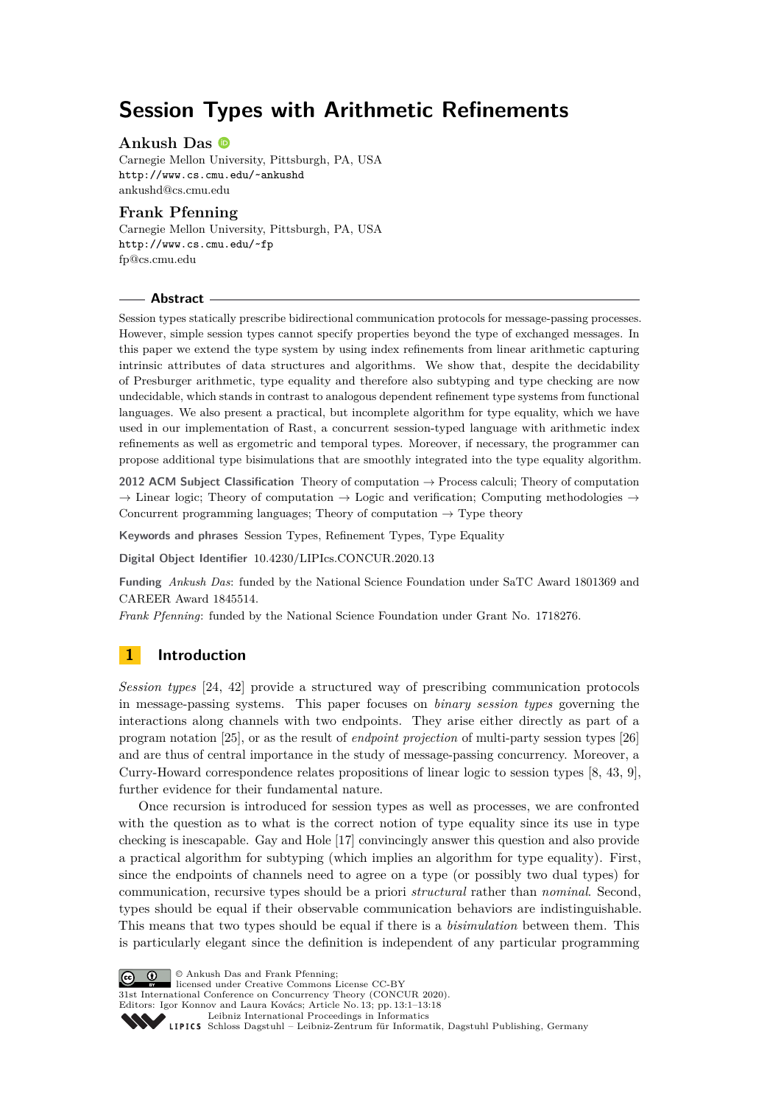# **Session Types with Arithmetic Refinements**

# **Ankush Das**

Carnegie Mellon University, Pittsburgh, PA, USA <http://www.cs.cmu.edu/~ankushd> [ankushd@cs.cmu.edu](mailto:ankushd@cs.cmu.edu)

# **Frank Pfenning**

Carnegie Mellon University, Pittsburgh, PA, USA <http://www.cs.cmu.edu/~fp> [fp@cs.cmu.edu](mailto:fp@cs.cmu.edu)

#### **Abstract**

Session types statically prescribe bidirectional communication protocols for message-passing processes. However, simple session types cannot specify properties beyond the type of exchanged messages. In this paper we extend the type system by using index refinements from linear arithmetic capturing intrinsic attributes of data structures and algorithms. We show that, despite the decidability of Presburger arithmetic, type equality and therefore also subtyping and type checking are now undecidable, which stands in contrast to analogous dependent refinement type systems from functional languages. We also present a practical, but incomplete algorithm for type equality, which we have used in our implementation of Rast, a concurrent session-typed language with arithmetic index refinements as well as ergometric and temporal types. Moreover, if necessary, the programmer can propose additional type bisimulations that are smoothly integrated into the type equality algorithm.

**2012 ACM Subject Classification** Theory of computation → Process calculi; Theory of computation  $\rightarrow$  Linear logic; Theory of computation  $\rightarrow$  Logic and verification; Computing methodologies  $\rightarrow$ Concurrent programming languages; Theory of computation  $\rightarrow$  Type theory

**Keywords and phrases** Session Types, Refinement Types, Type Equality

**Digital Object Identifier** [10.4230/LIPIcs.CONCUR.2020.13](https://doi.org/10.4230/LIPIcs.CONCUR.2020.13)

**Funding** *Ankush Das*: funded by the National Science Foundation under SaTC Award 1801369 and CAREER Award 1845514.

*Frank Pfenning*: funded by the National Science Foundation under Grant No. 1718276.

# **1 Introduction**

*Session types* [\[24,](#page-16-0) [42\]](#page-17-0) provide a structured way of prescribing communication protocols in message-passing systems. This paper focuses on *binary session types* governing the interactions along channels with two endpoints. They arise either directly as part of a program notation [\[25\]](#page-16-1), or as the result of *endpoint projection* of multi-party session types [\[26\]](#page-16-2) and are thus of central importance in the study of message-passing concurrency. Moreover, a Curry-Howard correspondence relates propositions of linear logic to session types [\[8,](#page-15-0) [43,](#page-17-1) [9\]](#page-15-1), further evidence for their fundamental nature.

Once recursion is introduced for session types as well as processes, we are confronted with the question as to what is the correct notion of type equality since its use in type checking is inescapable. Gay and Hole [\[17\]](#page-16-3) convincingly answer this question and also provide a practical algorithm for subtyping (which implies an algorithm for type equality). First, since the endpoints of channels need to agree on a type (or possibly two dual types) for communication, recursive types should be a priori *structural* rather than *nominal*. Second, types should be equal if their observable communication behaviors are indistinguishable. This means that two types should be equal if there is a *bisimulation* between them. This is particularly elegant since the definition is independent of any particular programming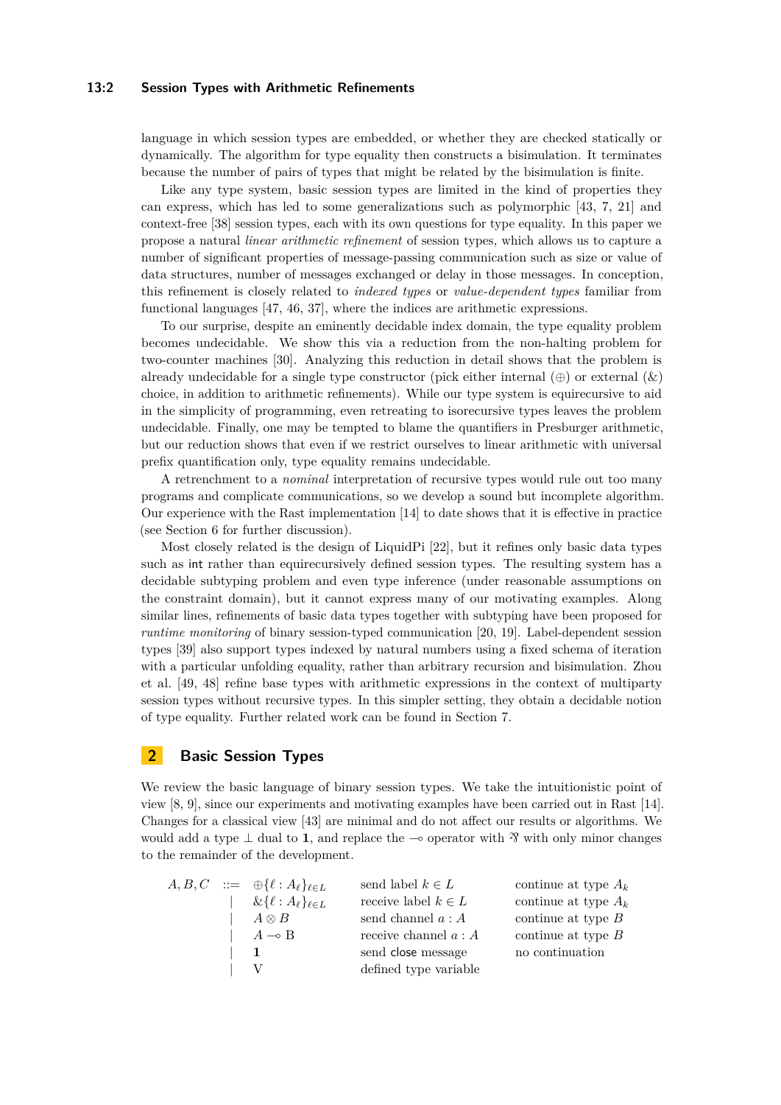#### **13:2 Session Types with Arithmetic Refinements**

language in which session types are embedded, or whether they are checked statically or dynamically. The algorithm for type equality then constructs a bisimulation. It terminates because the number of pairs of types that might be related by the bisimulation is finite.

Like any type system, basic session types are limited in the kind of properties they can express, which has led to some generalizations such as polymorphic [\[43,](#page-17-1) [7,](#page-15-2) [21\]](#page-16-4) and context-free [\[38\]](#page-17-3) session types, each with its own questions for type equality. In this paper we propose a natural *linear arithmetic refinement* of session types, which allows us to capture a number of significant properties of message-passing communication such as size or value of data structures, number of messages exchanged or delay in those messages. In conception, this refinement is closely related to *indexed types* or *value-dependent types* familiar from functional languages [\[47,](#page-17-4) [46,](#page-17-5) [37\]](#page-17-6), where the indices are arithmetic expressions.

To our surprise, despite an eminently decidable index domain, the type equality problem becomes undecidable. We show this via a reduction from the non-halting problem for two-counter machines [\[30\]](#page-16-5). Analyzing this reduction in detail shows that the problem is already undecidable for a single type constructor (pick either internal  $(\oplus)$  or external  $(\&)$ ) choice, in addition to arithmetic refinements). While our type system is equirecursive to aid in the simplicity of programming, even retreating to isorecursive types leaves the problem undecidable. Finally, one may be tempted to blame the quantifiers in Presburger arithmetic, but our reduction shows that even if we restrict ourselves to linear arithmetic with universal prefix quantification only, type equality remains undecidable.

A retrenchment to a *nominal* interpretation of recursive types would rule out too many programs and complicate communications, so we develop a sound but incomplete algorithm. Our experience with the Rast implementation [\[14\]](#page-15-3) to date shows that it is effective in practice (see [Section 6](#page-11-0) for further discussion).

Most closely related is the design of LiquidPi [\[22\]](#page-16-6), but it refines only basic data types such as int rather than equirecursively defined session types. The resulting system has a decidable subtyping problem and even type inference (under reasonable assumptions on the constraint domain), but it cannot express many of our motivating examples. Along similar lines, refinements of basic data types together with subtyping have been proposed for *runtime monitoring* of binary session-typed communication [\[20,](#page-16-7) [19\]](#page-16-8). Label-dependent session types [\[39\]](#page-17-7) also support types indexed by natural numbers using a fixed schema of iteration with a particular unfolding equality, rather than arbitrary recursion and bisimulation. Zhou et al. [\[49,](#page-17-8) [48\]](#page-17-9) refine base types with arithmetic expressions in the context of multiparty session types without recursive types. In this simpler setting, they obtain a decidable notion of type equality. Further related work can be found in [Section 7.](#page-13-0)

# **2 Basic Session Types**

We review the basic language of binary session types. We take the intuitionistic point of view [\[8,](#page-15-0) [9\]](#page-15-1), since our experiments and motivating examples have been carried out in Rast [\[14\]](#page-15-3). Changes for a classical view [\[43\]](#page-17-1) are minimal and do not affect our results or algorithms. We would add a type  $\perp$  dual to **1**, and replace the  $\sim$  operator with  $\mathcal{V}$  with only minor changes to the remainder of the development.

|  | $A, B, C \ ::= \ \oplus \{\ell : A_{\ell}\}_{\ell \in L}$ | send label $k \in L$    | continue at type $A_k$ |
|--|-----------------------------------------------------------|-------------------------|------------------------|
|  | $\&\{\ell: A_{\ell}\}_{\ell \in L}$                       | receive label $k \in L$ | continue at type $A_k$ |
|  | $A\otimes B$                                              | send channel $a : A$    | continue at type $B$   |
|  | $A \rightarrow B$                                         | receive channel $a : A$ | continue at type $B$   |
|  |                                                           | send close message      | no continuation        |
|  | $\vee$                                                    | defined type variable   |                        |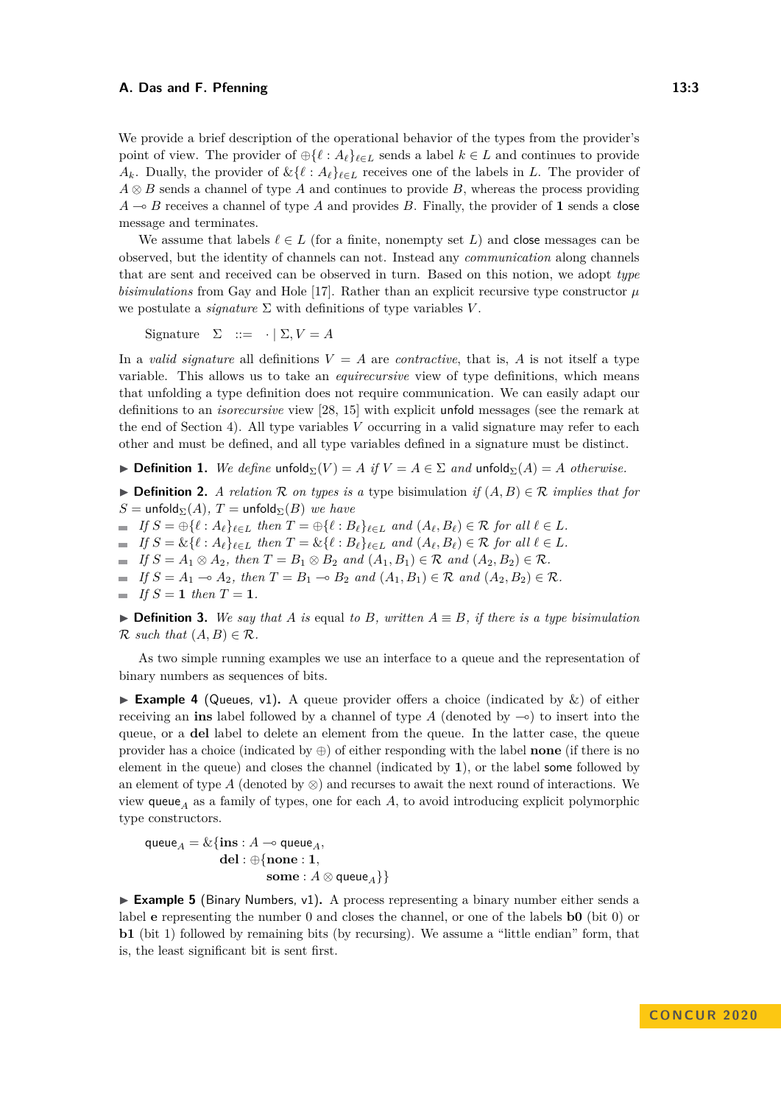We provide a brief description of the operational behavior of the types from the provider's point of view. The provider of  $\bigoplus \{ \ell : A_{\ell} \}_{\ell \in L}$  sends a label  $k \in L$  and continues to provide  $A_k$ . Dually, the provider of  $\&\{\ell : A_\ell\}_{\ell \in L}$  receives one of the labels in *L*. The provider of *A* ⊗ *B* sends a channel of type *A* and continues to provide *B*, whereas the process providing  $A \rightarrow B$  receives a channel of type *A* and provides *B*. Finally, the provider of **1** sends a close message and terminates.

We assume that labels  $\ell \in L$  (for a finite, nonempty set *L*) and close messages can be observed, but the identity of channels can not. Instead any *communication* along channels that are sent and received can be observed in turn. Based on this notion, we adopt *type bisimulations* from Gay and Hole [\[17\]](#page-16-3). Rather than an explicit recursive type constructor  $\mu$ we postulate a *signature*  $\Sigma$  with definitions of type variables *V*.

Signature  $\Sigma ::= \cdot | \Sigma, V = A$ 

In a *valid signature* all definitions  $V = A$  are *contractive*, that is,  $A$  is not itself a type variable. This allows us to take an *equirecursive* view of type definitions, which means that unfolding a type definition does not require communication. We can easily adapt our definitions to an *isorecursive* view [\[28,](#page-16-9) [15\]](#page-15-4) with explicit unfold messages (see the remark at the end of [Section 4\)](#page-5-0). All type variables *V* occurring in a valid signature may refer to each other and must be defined, and all type variables defined in a signature must be distinct.

**► Definition 1.** We define unfold $\sum V = A$  if  $V = A \in \Sigma$  and unfold $\sum (A) = A$  *otherwise.* 

<span id="page-2-1"></span>**► Definition 2.** *A relation*  $\mathcal{R}$  *on types is a type bisimulation if*  $(A, B) \in \mathcal{R}$  *implies that for*  $S = \text{unfold}_{\Sigma}(A), T = \text{unfold}_{\Sigma}(B)$  *we have* 

 $\blacksquare$  If  $S = \bigoplus \{ \ell : A_{\ell} \}_{\ell \in L}$  then  $T = \bigoplus \{ \ell : B_{\ell} \}_{\ell \in L}$  and  $(A_{\ell}, B_{\ell}) \in \mathcal{R}$  for all  $\ell \in L$ .

 $\blacksquare$  If  $S = \&\{\ell : A_{\ell}\}_{\ell \in L}$  then  $T = \&\{\ell : B_{\ell}\}_{\ell \in L}$  and  $(A_{\ell}, B_{\ell}) \in \mathcal{R}$  for all  $\ell \in L$ .

 $\blacksquare$  *If*  $S = A_1 \otimes A_2$ *, then*  $T = B_1 \otimes B_2$  *and*  $(A_1, B_1) \in \mathcal{R}$  *and*  $(A_2, B_2) \in \mathcal{R}$ *.* 

 $\blacksquare$  *If*  $S = A_1 \multimap A_2$ , then  $T = B_1 \multimap B_2$  and  $(A_1, B_1) \in \mathcal{R}$  and  $(A_2, B_2) \in \mathcal{R}$ .

 $\blacksquare$  *If*  $S = 1$  *then*  $T = 1$ *.* 

▶ **Definition 3.** *We say that A is* equal *to B, written*  $A ≡ B$ *, if there is a type bisimulation*  $\mathcal{R}$  *such that*  $(A, B) \in \mathcal{R}$ *.* 

As two simple running examples we use an interface to a queue and the representation of binary numbers as sequences of bits.

<span id="page-2-0"></span>**Example 4** (Queues, v1). A queue provider offers a choice (indicated by  $\&$ ) of either receiving an **ins** label followed by a channel of type  $A$  (denoted by  $\infty$ ) to insert into the queue, or a **del** label to delete an element from the queue. In the latter case, the queue provider has a choice (indicated by ⊕) of either responding with the label **none** (if there is no element in the queue) and closes the channel (indicated by **1**), or the label some followed by an element of type *A* (denoted by  $\otimes$ ) and recurses to await the next round of interactions. We view queue<sub>A</sub> as a family of types, one for each  $A$ , to avoid introducing explicit polymorphic type constructors.

$$
\begin{aligned} \mathsf{queue}_A = \& \{ \mathbf{ins} : A \multimap \mathsf{queue}_A, \\ \mathbf{del} : \oplus \{ \mathbf{none} : \mathbf{1}, \\ \mathbf{some} : A \otimes \mathsf{queue}_A \} \} \end{aligned}
$$

► **Example 5** (Binary Numbers, v1). A process representing a binary number either sends a label **e** representing the number 0 and closes the channel, or one of the labels **b0** (bit 0) or **b1** (bit 1) followed by remaining bits (by recursing). We assume a "little endian" form, that is, the least significant bit is sent first.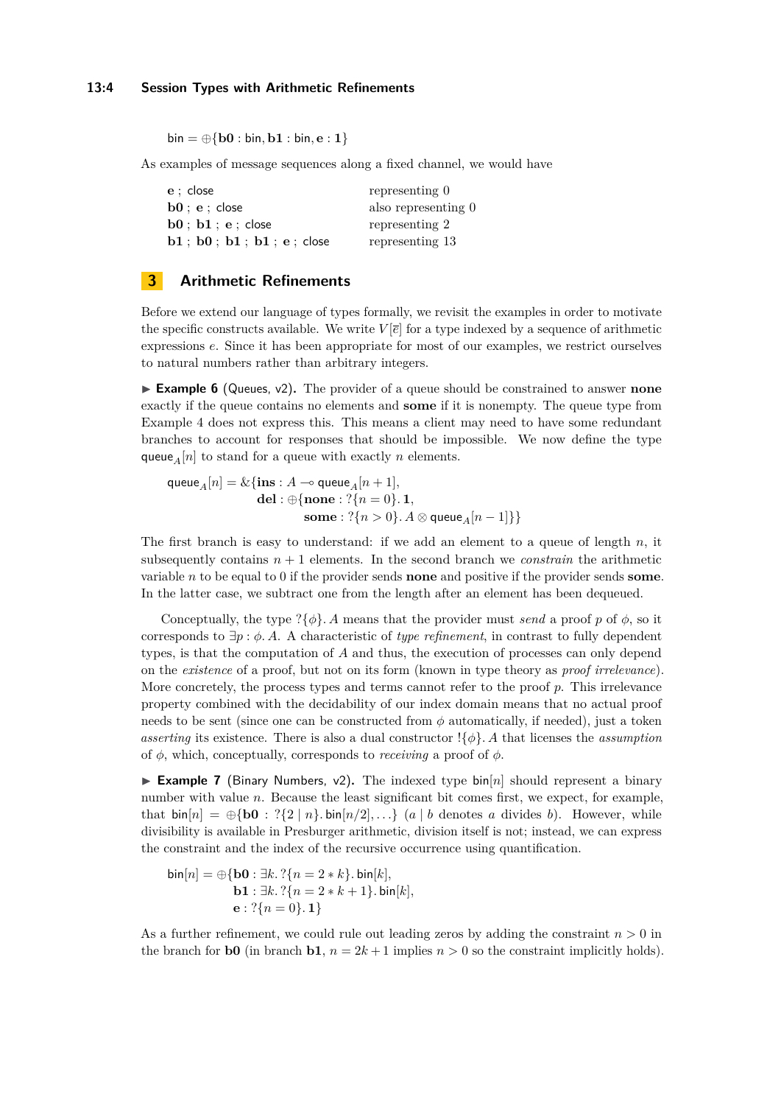$\text{bin} = \bigoplus \{ \text{b0} : \text{bin}, \text{b1} : \text{bin}, \text{e} : 1 \}$ 

As examples of message sequences along a fixed channel, we would have

| $e:$ close                                           | representing 0      |
|------------------------------------------------------|---------------------|
| $\mathbf{b0} : \mathbf{e} : \mathsf{close}$          | also representing 0 |
| $\mathbf{b0}$ ; $\mathbf{b1}$ ; $\mathbf{e}$ ; close | representing 2      |
| $b1$ ; $b0$ ; $b1$ ; $b1$ ; $e$ ; close              | representing 13     |

# <span id="page-3-0"></span>**3 Arithmetic Refinements**

Before we extend our language of types formally, we revisit the examples in order to motivate the specific constructs available. We write  $V[\bar{e}]$  for a type indexed by a sequence of arithmetic expressions *e*. Since it has been appropriate for most of our examples, we restrict ourselves to natural numbers rather than arbitrary integers.

► **Example 6** (Queues, v2). The provider of a queue should be constrained to answer **none** exactly if the queue contains no elements and **some** if it is nonempty. The queue type from [Example 4](#page-2-0) does not express this. This means a client may need to have some redundant branches to account for responses that should be impossible. We now define the type queue<sub>*A*</sub> $[n]$  to stand for a queue with exactly *n* elements.

 $\mathsf{queue}_A[n] = \& \{ \mathbf{ins} : A \multimap \mathsf{queue}_A[n+1],$  $\textbf{del}: \oplus \{\textbf{none}: ?\{n=0\}.\ \textbf{1},$  ${\bf some}: ?\{n>0\}$ .  $A\otimes {\sf queue}_A[n-1]\}$ 

The first branch is easy to understand: if we add an element to a queue of length *n*, it subsequently contains  $n + 1$  elements. In the second branch we *constrain* the arithmetic variable *n* to be equal to 0 if the provider sends **none** and positive if the provider sends **some**. In the latter case, we subtract one from the length after an element has been dequeued.

Conceptually, the type  $\{\phi\}$ *. A* means that the provider must *send* a proof *p* of  $\phi$ , so it corresponds to ∃*p* : *φ. A*. A characteristic of *type refinement*, in contrast to fully dependent types, is that the computation of *A* and thus, the execution of processes can only depend on the *existence* of a proof, but not on its form (known in type theory as *proof irrelevance*). More concretely, the process types and terms cannot refer to the proof *p*. This irrelevance property combined with the decidability of our index domain means that no actual proof needs to be sent (since one can be constructed from  $\phi$  automatically, if needed), just a token *asserting* its existence. There is also a dual constructor  $\{\phi\}$ . A that licenses the *assumption* of *φ*, which, conceptually, corresponds to *receiving* a proof of *φ*.

**Example 7** (Binary Numbers,  $v^2$ ). The indexed type bin[*n*] should represent a binary number with value *n*. Because the least significant bit comes first, we expect, for example, that  $\text{bin}[n] = \bigoplus \{\textbf{b0} : ?\{2 \mid n\} \cdot \text{bin}[n/2], ...\}$  (*a* | *b* denotes *a* divides *b*). However, while divisibility is available in Presburger arithmetic, division itself is not; instead, we can express the constraint and the index of the recursive occurrence using quantification.

$$
\begin{aligned} \text{bin}[n] &= \bigoplus \{ \mathbf{b0} : \exists k. ? \{ n = 2 * k \}. \text{bin}[k], \\ & \mathbf{b1} : \exists k. ? \{ n = 2 * k + 1 \}. \text{bin}[k], \\ & \mathbf{e} : ? \{ n = 0 \}. \mathbf{1} \} \end{aligned}
$$

As a further refinement, we could rule out leading zeros by adding the constraint *n >* 0 in the branch for **b0** (in branch **b1**,  $n = 2k + 1$  implies  $n > 0$  so the constraint implicitly holds).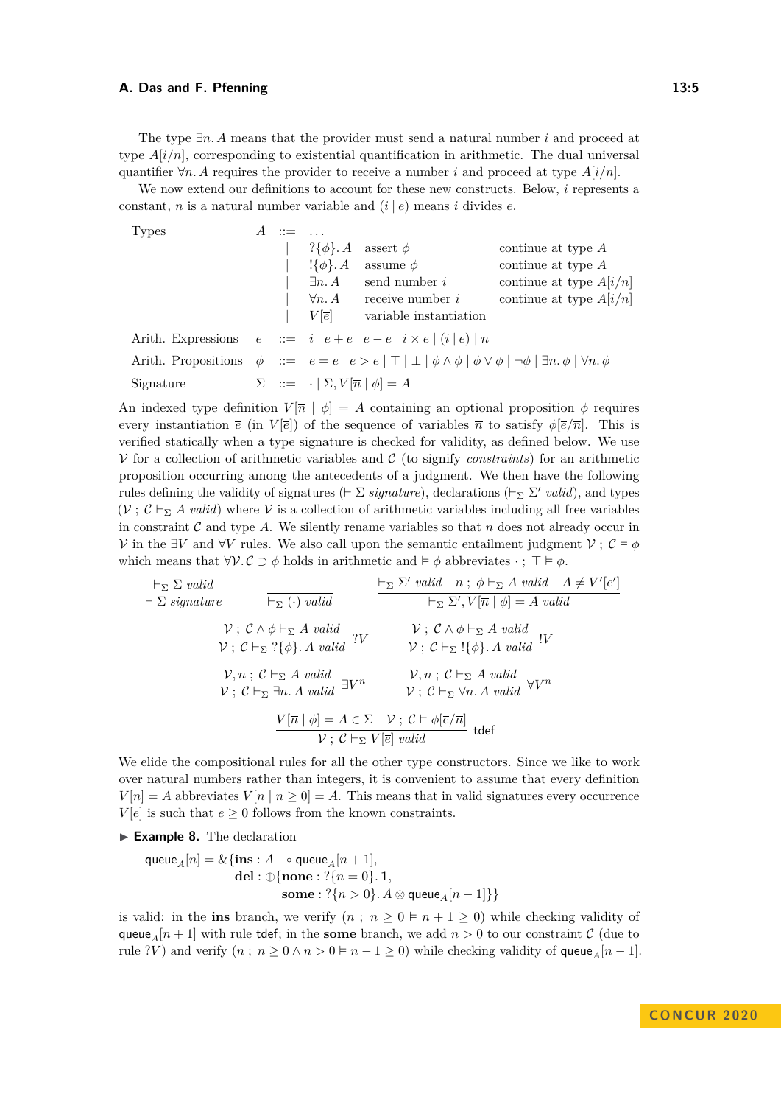We now extend our definitions to account for these new constructs. Below, *i* represents a constant, *n* is a natural number variable and  $(i | e)$  means *i* divides *e*.

| Types     | $A \nightharpoonup = \dots$ |                                                           |                                                                                                                                                |                           |
|-----------|-----------------------------|-----------------------------------------------------------|------------------------------------------------------------------------------------------------------------------------------------------------|---------------------------|
|           |                             | $?\{\phi\}$ . A                                           | assert $\phi$                                                                                                                                  | continue at type A        |
|           |                             | $\{\phi\}.A$                                              | assume $\phi$                                                                                                                                  | continue at type $A$      |
|           |                             | $\exists n. A$                                            | send number i                                                                                                                                  | continue at type $A[i/n]$ |
|           |                             |                                                           | $\forall n. A$ receive number i                                                                                                                | continue at type $A[i/n]$ |
|           |                             |                                                           | $V[\bar{e}]$ variable instantiation                                                                                                            |                           |
|           |                             |                                                           | Arith. Expressions $e ::= i   e + e   e - e   i \times e   (i   e)   n$                                                                        |                           |
|           |                             |                                                           | Arith. Propositions $\phi ::= e = e   e > e   \top   \bot   \phi \wedge \phi   \phi \vee \phi   \neg \phi   \exists n. \phi   \forall n. \phi$ |                           |
| Signature |                             | $\Sigma$ ::= $\cdot   \Sigma, V[\overline{n}   \phi] = A$ |                                                                                                                                                |                           |
|           |                             |                                                           |                                                                                                                                                |                           |

An indexed type definition  $V[\bar{n} | \phi] = A$  containing an optional proposition  $\phi$  requires every instantiation  $\bar{e}$  (in  $V[\bar{e}]$ ) of the sequence of variables  $\bar{n}$  to satisfy  $\phi[\bar{e}/\bar{n}]$ . This is verified statically when a type signature is checked for validity, as defined below. We use  $V$  for a collection of arithmetic variables and  $C$  (to signify *constraints*) for an arithmetic proposition occurring among the antecedents of a judgment. We then have the following rules defining the validity of signatures ( $\vdash \Sigma$  *signature*), declarations ( $\vdash_{\Sigma} \Sigma'$  valid), and types  $(V; \mathcal{C} \vdash_{\Sigma} A \text{ valid})$  where V is a collection of arithmetic variables including all free variables in constraint  $\mathcal C$  and type  $\mathcal A$ . We silently rename variables so that  $n$  does not already occur in *V* in the ∃*V* and  $\forall V$  rules. We also call upon the semantic entailment judgment *V*;  $\mathcal{C} \models \phi$ which means that  $\forall V \in \mathcal{C} \supset \phi$  holds in arithmetic and  $\models \phi$  abbreviates  $\cdot$ ;  $\top \models \phi$ .

$$
\frac{\vdash_{\Sigma} \Sigma \text{ valid}}{\vdash \Sigma \text{ signature}} \qquad \frac{\vdash_{\Sigma} \Sigma' \text{ valid } \overline{n} \text{ ; } \phi \vdash_{\Sigma} A \text{ valid } A \neq V'[ \overline{e}']}{\vdash_{\Sigma} (\cdot) \text{ valid}} \qquad \frac{\vdash_{\Sigma} \Sigma' \text{ valid } \overline{n} \text{ ; } \phi \vdash_{\Sigma} A \text{ valid } A \neq V'[ \overline{e}']}{\vdash_{\Sigma} \Sigma', V[\overline{n} \mid \phi] = A \text{ valid}}}{\mathcal{V} \text{ ; } C \vdash_{\Sigma} ?\{\phi\} \text{ . } A \text{ valid } ?V} \qquad \frac{\mathcal{V} \text{ ; } C \land \phi \vdash_{\Sigma} A \text{ valid } \text{ !} V}{\mathcal{V} \text{ ; } C \vdash_{\Sigma} !\{\phi\} \text{ . } A \text{ valid } !V}
$$
\n
$$
\frac{\mathcal{V}, n \text{ ; } C \vdash_{\Sigma} A \text{ valid } \exists V^n \qquad \frac{\mathcal{V}, n \text{ ; } C \vdash_{\Sigma} A \text{ valid } \forall V^n}{\mathcal{V} \text{ ; } C \vdash_{\Sigma} \forall n \text{ . } A \text{ valid } \forall V^n}
$$
\n
$$
\frac{V[\overline{n} \mid \phi] = A \in \Sigma \quad \mathcal{V} \text{ ; } C \vdash_{\Sigma} V[\overline{e}] \text{ valid } \text{tdef}
$$

We elide the compositional rules for all the other type constructors. Since we like to work over natural numbers rather than integers, it is convenient to assume that every definition  $V[\overline{n}] = A$  abbreviates  $V[\overline{n} | \overline{n} \geq 0] = A$ . This means that in valid signatures every occurrence  $V[\bar{e}]$  is such that  $\bar{e} > 0$  follows from the known constraints.

▶ Example 8. The declaration

$$
\begin{aligned} \text{queue}_A[n] = \&\{\mathbf{ins}: A \multimap \text{queue}_A[n+1],\\ \text{del}: \oplus \{\text{none}: \text{?}\{n=0\}.~\textbf{1},\\ \text{some}: \text{?}\{n>0\}.~A \otimes \text{queue}_A[n-1]\}\} \end{aligned}
$$

is valid: in the **ins** branch, we verify  $(n; n \geq 0 \in n + 1 \geq 0)$  while checking validity of queue<sub>*A*</sub> $[n+1]$  with rule tdef; in the **some** branch, we add  $n > 0$  to our constraint C (due to rule ?*V*) and verify  $(n; n \ge 0 \land n > 0 \models n - 1 \ge 0)$  while checking validity of queue<sub>*A*</sub>[ $n - 1$ ].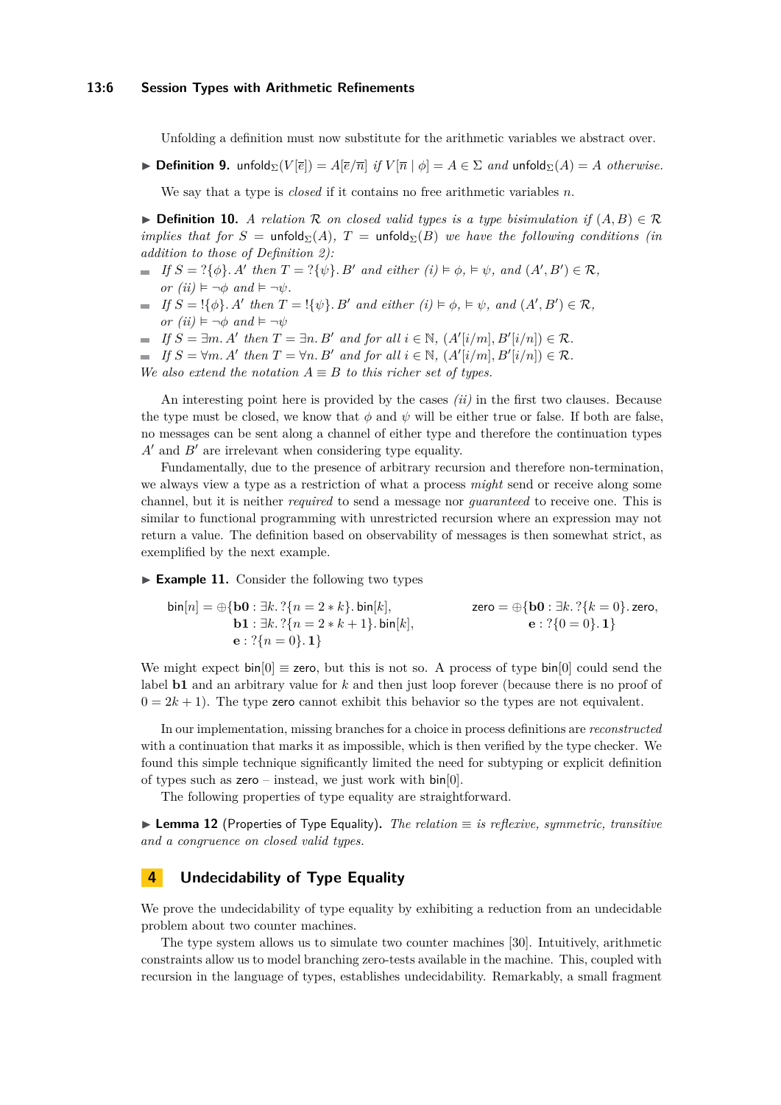#### **13:6 Session Types with Arithmetic Refinements**

Unfolding a definition must now substitute for the arithmetic variables we abstract over.

 $▶$  **Definition 9.** unfold<sub>Σ</sub>(*V*[ $\bar{e}$ ]) = *A*[ $\bar{e}/\bar{n}$ ] *if V*[ $\bar{n}$ ]  $\phi$ ] = *A* ∈ Σ *and* unfold<sub>Σ</sub>(*A*) = *A otherwise.* 

We say that a type is *closed* if it contains no free arithmetic variables *n*.

**► Definition 10.** *A relation*  $\mathcal{R}$  *on closed valid types is a type bisimulation if*  $(A, B) \in \mathcal{R}$ *implies that for*  $S = \text{unfold}_{\Sigma}(A)$ ,  $T = \text{unfold}_{\Sigma}(B)$  *we have the following conditions (in*) *addition to those of [Definition 2\)](#page-2-1):*

- *If*  $S = ?{\phi}$ *. A*<sup>*t*</sup> then  $T = ?{\psi}$ *. B*<sup>*t*</sup> and either  $(i) \models \phi$ ,  $\models \psi$ , and  $(A', B') \in \mathcal{R}$ ,  $or (ii) \models \neg \phi \text{ and } \models \neg \psi.$
- $If S = \{\{\phi\} \text{. } A' \text{ then } T = \{\{\psi\} \text{. } B' \text{ and either } (i) \models \phi, \models \psi, \text{ and } (A', B') \in \mathcal{R},\}$ *or*  $(ii) \models \neg \phi$  *and*  $\models \neg \psi$
- *If*  $S = \exists m \ldotp A'$  *then*  $T = \exists n \ldotp B'$  *and for all*  $i \in \mathbb{N}$ *,*  $(A'[i/m], B'[i/n]) \in \mathcal{R}$ *.*
- *If*  $S = \forall m \ldotp A'$  then  $T = \forall n \ldotp B'$  and for all  $i \in \mathbb{N}$ ,  $(A'[i/m], B'[i/n]) \in \mathcal{R}$ .

*We also extend the notation*  $A \equiv B$  *to this richer set of types.* 

An interesting point here is provided by the cases *(ii)* in the first two clauses. Because the type must be closed, we know that  $\phi$  and  $\psi$  will be either true or false. If both are false, no messages can be sent along a channel of either type and therefore the continuation types  $A'$  and  $B'$  are irrelevant when considering type equality.

Fundamentally, due to the presence of arbitrary recursion and therefore non-termination, we always view a type as a restriction of what a process *might* send or receive along some channel, but it is neither *required* to send a message nor *guaranteed* to receive one. This is similar to functional programming with unrestricted recursion where an expression may not return a value. The definition based on observability of messages is then somewhat strict, as exemplified by the next example.

► **Example 11.** Consider the following two types

 $\text{bin}[n] = \bigoplus \{\textbf{b0} : \exists k. ? \{n = 2 * k\}. \text{Bin}[k],$  zero =  $\bigoplus \{\textbf{b0} : \exists k. ? \{k = 0\}. \text{zero},$ **b1** :  $\exists k$ *.* ?{ $n = 2 * k + 1$ }*.* **bin**[ $k$ ]*,* **e** : ?{0 = 0}*.* **1**}  $e$  : ?{ $n = 0$ }, **1**}

We might expect  $\text{bin}[0] \equiv \text{zero}$ , but this is not so. A process of type  $\text{bin}[0]$  could send the label **b1** and an arbitrary value for *k* and then just loop forever (because there is no proof of  $0 = 2k + 1$ ). The type zero cannot exhibit this behavior so the types are not equivalent.

In our implementation, missing branches for a choice in process definitions are *reconstructed* with a continuation that marks it as impossible, which is then verified by the type checker. We found this simple technique significantly limited the need for subtyping or explicit definition of types such as  $zero - instead$ , we just work with  $bin[0]$ .

The following properties of type equality are straightforward.

I **Lemma 12** (Properties of Type Equality)**.** *The relation* ≡ *is reflexive, symmetric, transitive and a congruence on closed valid types.*

## <span id="page-5-0"></span>**4 Undecidability of Type Equality**

We prove the undecidability of type equality by exhibiting a reduction from an undecidable problem about two counter machines.

The type system allows us to simulate two counter machines [\[30\]](#page-16-5). Intuitively, arithmetic constraints allow us to model branching zero-tests available in the machine. This, coupled with recursion in the language of types, establishes undecidability. Remarkably, a small fragment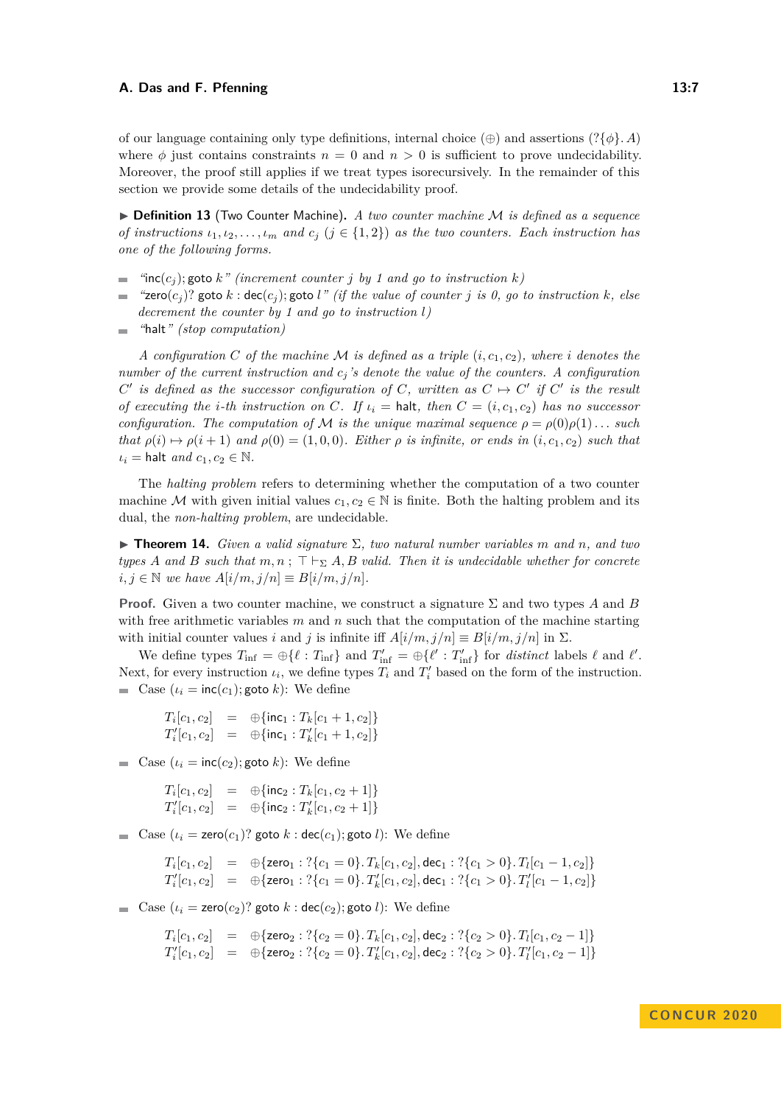of our language containing only type definitions, internal choice  $(\oplus)$  and assertions  $(?\{\phi\}, A)$ where  $\phi$  just contains constraints  $n = 0$  and  $n > 0$  is sufficient to prove undecidability. Moreover, the proof still applies if we treat types isorecursively. In the remainder of this section we provide some details of the undecidability proof.

▶ **Definition 13** (Two Counter Machine). A two counter machine M is defined as a sequence *of instructions*  $\iota_1, \iota_2, \ldots, \iota_m$  *and*  $c_j$  ( $j \in \{1, 2\}$ ) *as the two counters. Each instruction has one of the following forms.*

- $\text{``inc}(c_j)$ ; goto *k*" *(increment counter j by* 1 and go to instruction *k*)
- $f$ **zero** $(c_i)$ ? goto  $k : \text{dec}(c_i)$ ; goto *l*<sup>*"*</sup> (if the value of counter *j* is 0, go to instruction  $k$ *, else*  $\overline{\phantom{a}}$ *decrement the counter by 1 and go to instruction l)*
- *"*halt*" (stop computation)*  $\sim$

*A configuration C of the machine M is defined as a triple*  $(i, c_1, c_2)$ *, where i denotes the number of the current instruction and c<sup>j</sup> 's denote the value of the counters. A configuration C*<sup> $\prime$ </sup> is defined as the successor configuration of *C*, written as  $C \rightarrow C'$  if  $C'$  is the result *of executing the i-th instruction on*  $C$ *. If*  $\iota_i =$  halt, then  $C = (i, c_1, c_2)$  has no successor *configuration. The computation of* M *is the unique maximal sequence*  $\rho = \rho(0)\rho(1) \dots$  *such that*  $\rho(i) \mapsto \rho(i+1)$  *and*  $\rho(0) = (1,0,0)$ *. Either*  $\rho$  *is infinite, or ends in*  $(i, c_1, c_2)$  *such that*  $\iota_i$  = halt *and*  $c_1, c_2 \in \mathbb{N}$ .

The *halting problem* refers to determining whether the computation of a two counter machine M with given initial values  $c_1, c_2 \in \mathbb{N}$  is finite. Both the halting problem and its dual, the *non-halting problem*, are undecidable.

I **Theorem 14.** *Given a valid signature* Σ*, two natural number variables m and n, and two types A* and *B* such that  $m, n$ ;  $\top \vdash_{\Sigma} A$ , *B valid. Then it is undecidable whether for concrete*  $i, j \in \mathbb{N}$  *we have*  $A[i/m, j/n] \equiv B[i/m, j/n]$ .

**Proof.** Given a two counter machine, we construct a signature Σ and two types *A* and *B* with free arithmetic variables *m* and *n* such that the computation of the machine starting with initial counter values *i* and *j* is infinite iff  $A[i/m, j/n] \equiv B[i/m, j/n]$  in  $\Sigma$ .

We define types  $T_{\text{inf}} = \bigoplus \{ \ell : T_{\text{inf}} \}$  and  $T'_{\text{inf}} = \bigoplus \{ \ell' : T'_{\text{inf}} \}$  for *distinct* labels  $\ell$  and  $\ell'$ . Next, for every instruction  $\iota_i$ , we define types  $T_i$  and  $T'_i$  based on the form of the instruction.  $\blacksquare$  Case  $(\iota_i = \text{inc}(c_1); \text{goto } k)$ : We define

 $T_i[c_1, c_2] = \oplus \{\textsf{inc}_1 : T_k[c_1 + 1, c_2]\}$  $T'_{i}[c_1, c_2] = \oplus \{\textsf{inc}_1 : T'_{k}[c_1 + 1, c_2]\}$ 

 $\blacksquare$  Case  $(\iota_i = \text{inc}(c_2); \text{goto } k)$ : We define

 $T_i[c_1, c_2] = \oplus \{\textsf{inc}_2 : T_k[c_1, c_2 + 1]\}$  $T'_{i}[c_1, c_2] = \oplus \{\textsf{inc}_2 : T'_{k}[c_1, c_2 + 1]\}$ 

 $\blacksquare$  Case  $(\iota_i = \mathsf{zero}(c_1)$ ? goto  $k : \mathsf{dec}(c_1)$ ; goto  $l)$ : We define

 $T_i[c_1, c_2]$  =  $\oplus$  {zero $_1 : ?\{c_1 = 0\}$ *.*  $T_k[c_1, c_2]$ *,* dec $_1 : ?\{c_1 > 0\}$ *.*  $T_l[c_1 - 1, c_2]\}$  $T'_{i}[c_{1}, c_{2}]$  =  $\oplus$  {zero<sub>1</sub> : ?{ $c_{1} = 0$ }*.*  $T'_{k}[c_{1}, c_{2}]$ *,* dec<sub>1</sub> : ?{ $c_{1} > 0$ }*.*  $T'_{l}[c_{1} - 1, c_{2}]$ }

 $\blacksquare$  Case  $(\iota_i = \textsf{zero}(c_2)$ ? goto  $k : \textsf{dec}(c_2)$ ; goto  $l)$ : We define

$$
T_i[c_1, c_2] = \oplus \{ \text{zero}_2 : ?\{c_2 = 0\}. \, T_k[c_1, c_2], \text{dec}_2 : ?\{c_2 > 0\}. \, T_l[c_1, c_2 - 1] \}
$$
\n
$$
T'_i[c_1, c_2] = \oplus \{ \text{zero}_2 : ?\{c_2 = 0\}. \, T'_k[c_1, c_2], \text{dec}_2 : ?\{c_2 > 0\}. \, T'_l[c_1, c_2 - 1] \}
$$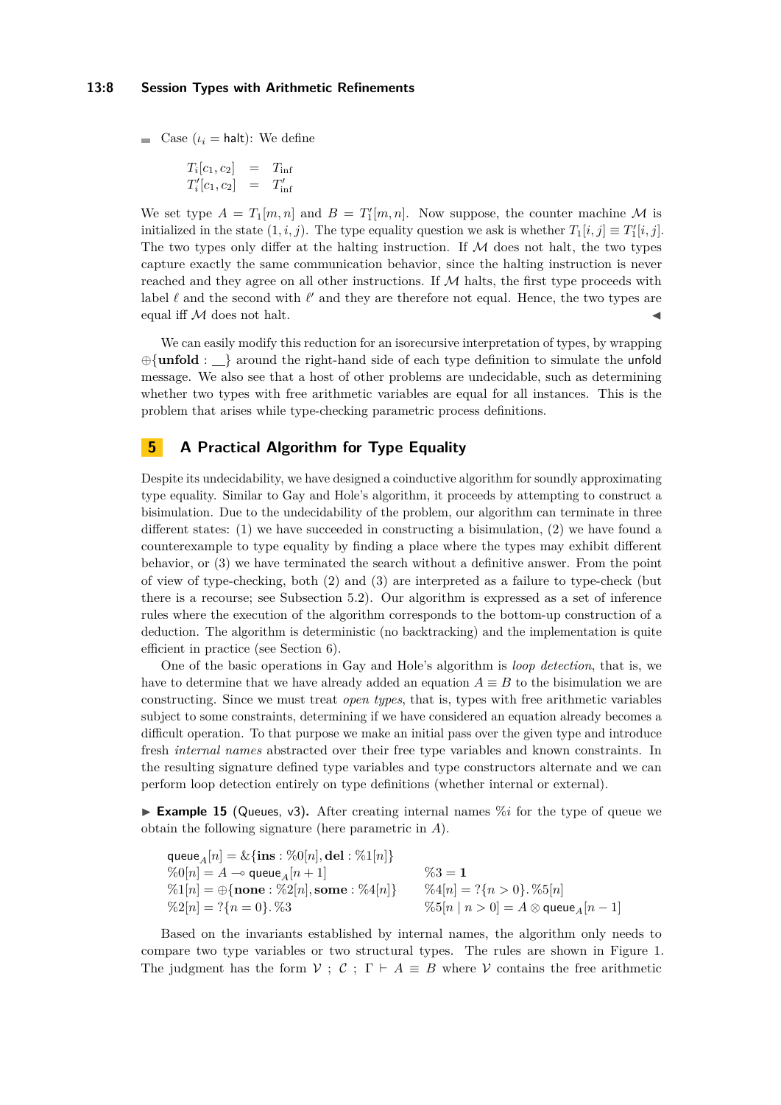#### **13:8 Session Types with Arithmetic Refinements**

 $\blacksquare$  Case ( $\iota_i$  = halt): We define

$$
T_i[c_1, c_2] = T_{\text{inf}}
$$
  

$$
T'_i[c_1, c_2] = T'_{\text{inf}}
$$

We set type  $A = T_1[m,n]$  and  $B = T'_1[m,n]$ . Now suppose, the counter machine M is initialized in the state  $(1, i, j)$ . The type equality question we ask is whether  $T_1[i, j] \equiv T'_1[i, j]$ . The two types only differ at the halting instruction. If  $M$  does not halt, the two types capture exactly the same communication behavior, since the halting instruction is never reached and they agree on all other instructions. If  $M$  halts, the first type proceeds with label  $\ell$  and the second with  $\ell'$  and they are therefore not equal. Hence, the two types are equal iff  $M$  does not halt.

We can easily modify this reduction for an isorecursive interpretation of types, by wrapping ⊕{**unfold** : } around the right-hand side of each type definition to simulate the unfold message. We also see that a host of other problems are undecidable, such as determining whether two types with free arithmetic variables are equal for all instances. This is the problem that arises while type-checking parametric process definitions.

## <span id="page-7-0"></span>**5 A Practical Algorithm for Type Equality**

Despite its undecidability, we have designed a coinductive algorithm for soundly approximating type equality. Similar to Gay and Hole's algorithm, it proceeds by attempting to construct a bisimulation. Due to the undecidability of the problem, our algorithm can terminate in three different states: (1) we have succeeded in constructing a bisimulation, (2) we have found a counterexample to type equality by finding a place where the types may exhibit different behavior, or (3) we have terminated the search without a definitive answer. From the point of view of type-checking, both (2) and (3) are interpreted as a failure to type-check (but there is a recourse; see [Subsection 5.2\)](#page-11-1). Our algorithm is expressed as a set of inference rules where the execution of the algorithm corresponds to the bottom-up construction of a deduction. The algorithm is deterministic (no backtracking) and the implementation is quite efficient in practice (see [Section 6\)](#page-11-0).

One of the basic operations in Gay and Hole's algorithm is *loop detection*, that is, we have to determine that we have already added an equation  $A \equiv B$  to the bisimulation we are constructing. Since we must treat *open types*, that is, types with free arithmetic variables subject to some constraints, determining if we have considered an equation already becomes a difficult operation. To that purpose we make an initial pass over the given type and introduce fresh *internal names* abstracted over their free type variables and known constraints. In the resulting signature defined type variables and type constructors alternate and we can perform loop detection entirely on type definitions (whether internal or external).

**Example 15** (Queues, v3). After creating internal names  $\%i$  for the type of queue we obtain the following signature (here parametric in *A*).

| queue $_A[n] = \& \{ \textbf{ins} : \%0[n], \textbf{del} : \%1[n] \}$     |                                                            |
|---------------------------------------------------------------------------|------------------------------------------------------------|
| $\%0[n] = A \multimap$ queue $_A[n+1]$                                    | $\%3 = 1$                                                  |
| $\%1[n] = \bigoplus \{ \textbf{none} : \%2[n], \textbf{some} : \%4[n] \}$ | $\%4[n] = ?\{n > 0\}$ . $\%5[n]$                           |
| $\%2[n] = ?\{n = 0\}$ . %3                                                | $\%5[n \mid n > 0] = A \otimes$ queue <sub>A</sub> $[n-1]$ |

Based on the invariants established by internal names, the algorithm only needs to compare two type variables or two structural types. The rules are shown in [Figure 1.](#page-8-0) The judgment has the form  $\mathcal{V}$ ;  $\mathcal{C}$ ;  $\Gamma \vdash A \equiv B$  where  $\mathcal{V}$  contains the free arithmetic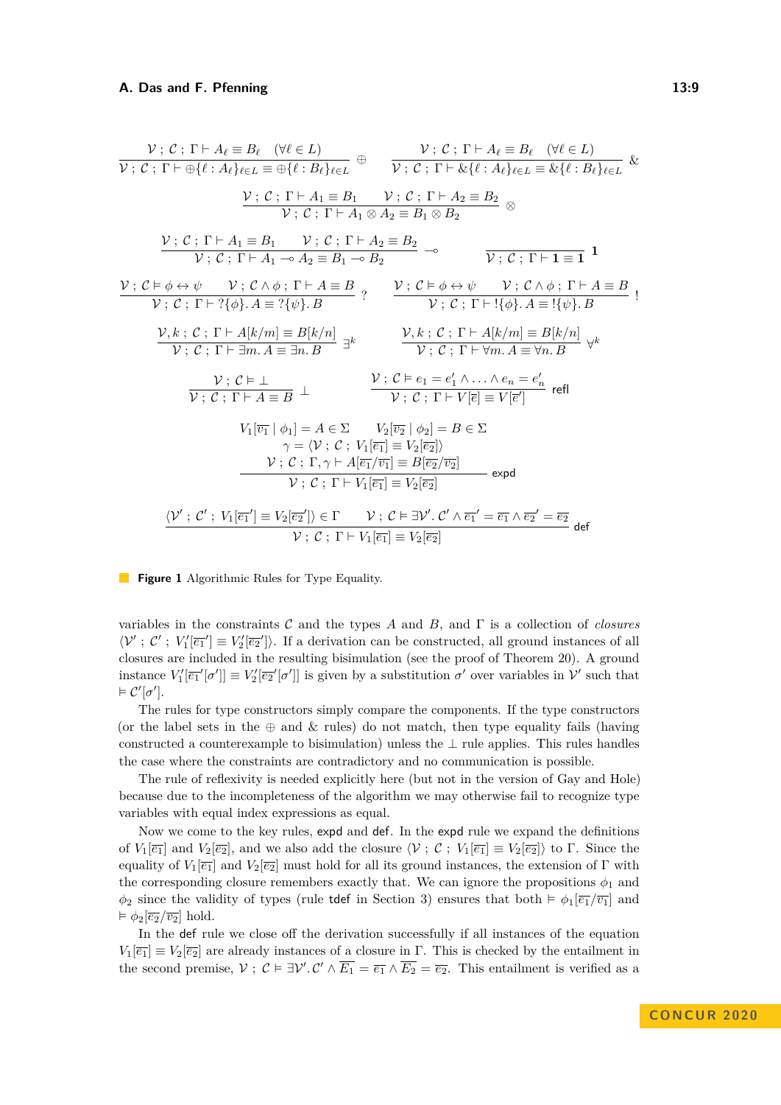<span id="page-8-0"></span>
$$
\frac{\mathcal{V}: \mathcal{C}: \Gamma \vdash A_{\ell} \equiv B_{\ell} \quad (\forall \ell \in L)}{\mathcal{V}: \mathcal{C}: \Gamma \vdash \bigoplus \{\ell : A_{\ell}\}_{\ell \in L} \equiv \bigoplus \{\ell : B_{\ell}\}_{\ell \in L}} \oplus \frac{\mathcal{V}: \mathcal{C}: \Gamma \vdash A_{\ell} \equiv B_{\ell} \quad (\forall \ell \in L)}{\mathcal{V}: \mathcal{C}: \Gamma \vdash A_{\ell} \geq B_{2}} \& \frac{\mathcal{V}: \mathcal{C}: \Gamma \vdash A_{1} \equiv B_{1} \quad \mathcal{V}: \mathcal{C}: \Gamma \vdash A_{2} \equiv B_{2}}{\mathcal{V}: \mathcal{C}: \Gamma \vdash A_{1} \otimes A_{2} \equiv B_{1} \otimes B_{2}} \otimes \frac{\mathcal{V}: \mathcal{C}: \Gamma \vdash A_{1} \equiv B_{1} \quad \mathcal{V}: \mathcal{C}: \Gamma \vdash A_{2} \equiv B_{2}}{\mathcal{V}: \mathcal{C}: \Gamma \vdash A_{1} \rightarrow A_{2} \equiv B_{1} \rightarrow B_{2}} \rightarrow \frac{\mathcal{V}: \mathcal{C}: \Gamma \vdash 1 \equiv 1}{\mathcal{V}: \mathcal{C}: \Gamma \vdash A_{1} \rightarrow A_{2} \equiv B_{1} \rightarrow B_{2}} \rightarrow \frac{\mathcal{V}: \mathcal{C} \models \phi \leftrightarrow \psi \quad \mathcal{V}: \mathcal{C} \land \phi: \Gamma \vdash A \equiv B}{\mathcal{V}: \mathcal{C}: \Gamma \vdash 2 \{\phi\}. A \equiv ? \{\psi\}. B} \vdots
$$
\n
$$
\frac{\mathcal{V}, k: \mathcal{C}: \Gamma \vdash A[k/m] \equiv B[k/n]}{\mathcal{V}: \mathcal{C}: \Gamma \vdash 3m. A \equiv 3n. B} \Rightarrow \frac{\mathcal{V}, k: \mathcal{C}: \Gamma \vdash A[k/m] \equiv B[k/n]}{\mathcal{V}: \mathcal{C}: \Gamma \vdash \mathcal{V}m. A \equiv \mathcal{V}n. B} \quad \forall k
$$
\n
$$
\frac{\mathcal{V}: \mathcal{C} \models \bot}{\mathcal{V}: \mathcal{C}: \Gamma \vdash A \equiv B} \perp \frac{\mathcal{V}: \mathcal{C} \models e_{1} = e'_{1} \land ...
$$

**Figure 1** Algorithmic Rules for Type Equality.

variables in the constraints C and the types *A* and *B*, and Γ is a collection of *closures*  $\langle V', C', V'_{1} \overline{|e_{1}}' \rangle \equiv V'_{2} \overline{|e_{2}}'$ . If a derivation can be constructed, all ground instances of all closures are included in the resulting bisimulation (see the proof of [Theorem 20\)](#page-10-0). A ground instance  $V'_1[\overline{e_1}'[\sigma']]\equiv V'_2[\overline{e_2}'[\sigma']]$  is given by a substitution  $\sigma'$  over variables in  $\mathcal{V}'$  such that  $\models \mathcal{C}'[\sigma'].$ 

The rules for type constructors simply compare the components. If the type constructors (or the label sets in the  $\oplus$  and  $\&$  rules) do not match, then type equality fails (having constructed a counterexample to bisimulation) unless the  $\perp$  rule applies. This rules handles the case where the constraints are contradictory and no communication is possible.

The rule of reflexivity is needed explicitly here (but not in the version of Gay and Hole) because due to the incompleteness of the algorithm we may otherwise fail to recognize type variables with equal index expressions as equal.

Now we come to the key rules, expd and def. In the expd rule we expand the definitions of  $V_1[\overline{e_1}]$  and  $V_2[\overline{e_2}]$ , and we also add the closure  $\langle V, \mathcal{C}; V_1[\overline{e_1}] \equiv V_2[\overline{e_2}] \rangle$  to  $\Gamma$ . Since the equality of  $V_1[\overline{e_1}]$  and  $V_2[\overline{e_2}]$  must hold for all its ground instances, the extension of Γ with the corresponding closure remembers exactly that. We can ignore the propositions  $\phi_1$  and  $\phi_2$  since the validity of types (rule tdef in Section [3\)](#page-3-0) ensures that both  $\models \phi_1[\overline{e_1}/\overline{v_1}]$  and  $\models \phi_2[\overline{e_2}/\overline{v_2}]$  hold.

In the def rule we close off the derivation successfully if all instances of the equation  $V_1[\overline{e_1}] \equiv V_2[\overline{e_2}]$  are already instances of a closure in Γ. This is checked by the entailment in the second premise,  $V: C \models \exists V'. C' \land \overline{E_1} = \overline{e_1} \land \overline{E_2} = \overline{e_2}$ . This entailment is verified as a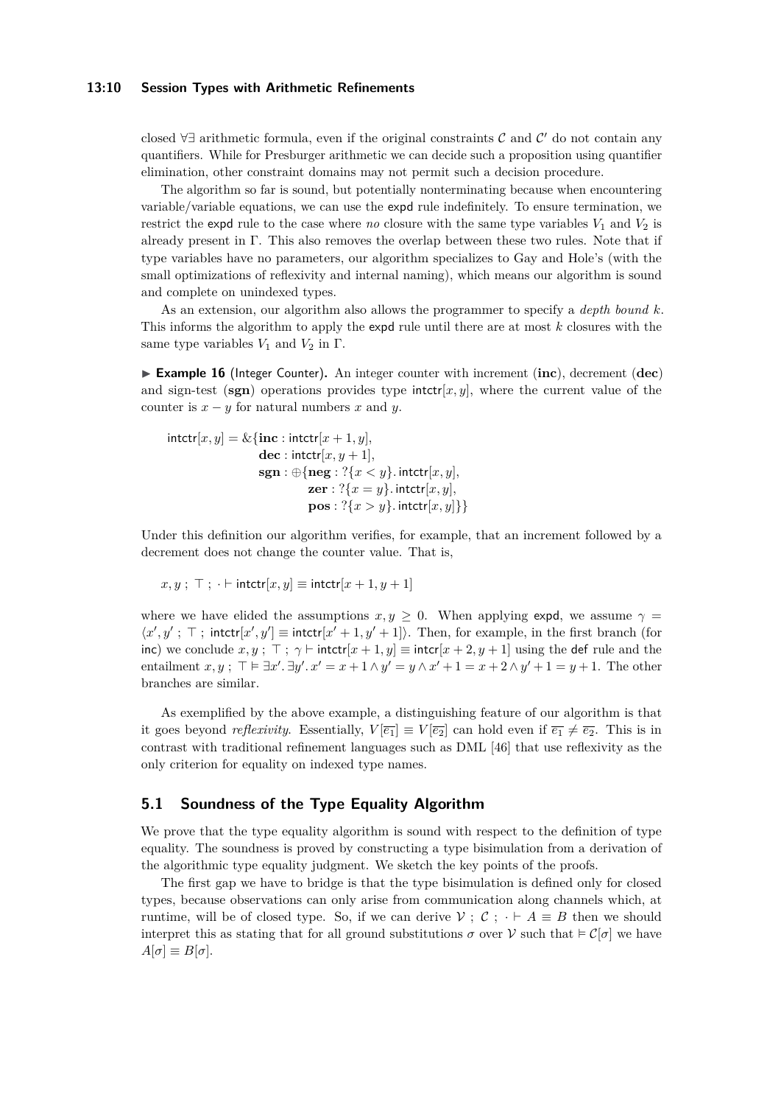#### **13:10 Session Types with Arithmetic Refinements**

closed  $\forall \exists$  arithmetic formula, even if the original constraints  $\mathcal C$  and  $\mathcal C'$  do not contain any quantifiers. While for Presburger arithmetic we can decide such a proposition using quantifier elimination, other constraint domains may not permit such a decision procedure.

The algorithm so far is sound, but potentially nonterminating because when encountering variable/variable equations, we can use the expd rule indefinitely. To ensure termination, we restrict the expd rule to the case where *no* closure with the same type variables  $V_1$  and  $V_2$  is already present in Γ. This also removes the overlap between these two rules. Note that if type variables have no parameters, our algorithm specializes to Gay and Hole's (with the small optimizations of reflexivity and internal naming), which means our algorithm is sound and complete on unindexed types.

As an extension, our algorithm also allows the programmer to specify a *depth bound k*. This informs the algorithm to apply the expd rule until there are at most *k* closures with the same type variables  $V_1$  and  $V_2$  in  $\Gamma$ .

I **Example 16** (Integer Counter)**.** An integer counter with increment (**inc**), decrement (**dec**) and sign-test ( $\textbf{sgn}$ ) operations provides type intctr[ $x, y$ ], where the current value of the counter is  $x - y$  for natural numbers  $x$  and  $y$ .

$$
\begin{aligned}\n\text{intctr}[x, y] &= \& \{\text{inc}: \text{intctr}[x+1, y], \\
& \text{dec}: \text{intctr}[x, y+1], \\
& \text{sgn}: \bigoplus \{\text{neg}: ?\{x < y\}. \text{intctr}[x, y], \\
& \text{zer}: ?\{x = y\}. \text{intctr}[x, y], \\
& \text{pos}: ?\{x > y\}. \text{intctr}[x, y]\}\n\end{aligned}
$$

Under this definition our algorithm verifies, for example, that an increment followed by a decrement does not change the counter value. That is,

$$
x, y
$$
;  $\top$ ;  $\cdot \vdash$   $\text{intctr}[x, y] \equiv$   $\text{intctr}[x + 1, y + 1]$ 

where we have elided the assumptions  $x, y \geq 0$ . When applying expd, we assume  $\gamma =$  $\langle x', y' ; \top ; \text{intctr}[x', y'] \equiv \text{intctr}[x'+1, y'+1] \rangle$ . Then, for example, in the first branch (for inc) we conclude  $x, y$ ;  $\top$ ;  $\gamma$   $\vdash$  intctr[ $x + 1, y$ ]  $\equiv$  intcr[ $x + 2, y + 1$ ] using the def rule and the entailment  $x, y$ ;  $\top \models \exists x'. \exists y'. x' = x + 1 \land y' = y \land x' + 1 = x + 2 \land y' + 1 = y + 1$ . The other branches are similar.

As exemplified by the above example, a distinguishing feature of our algorithm is that it goes beyond *reflexivity*. Essentially,  $V[\overline{e_1}] \equiv V[\overline{e_2}]$  can hold even if  $\overline{e_1} \neq \overline{e_2}$ . This is in contrast with traditional refinement languages such as DML [\[46\]](#page-17-5) that use reflexivity as the only criterion for equality on indexed type names.

## **5.1 Soundness of the Type Equality Algorithm**

We prove that the type equality algorithm is sound with respect to the definition of type equality. The soundness is proved by constructing a type bisimulation from a derivation of the algorithmic type equality judgment. We sketch the key points of the proofs.

The first gap we have to bridge is that the type bisimulation is defined only for closed types, because observations can only arise from communication along channels which, at runtime, will be of closed type. So, if we can derive  $\mathcal{V}: \mathcal{C}: \cdot \vdash A \equiv B$  then we should interpret this as stating that for all ground substitutions  $\sigma$  over  $\mathcal V$  such that  $\in \mathcal C[\sigma]$  we have  $A[\sigma] \equiv B[\sigma]$ .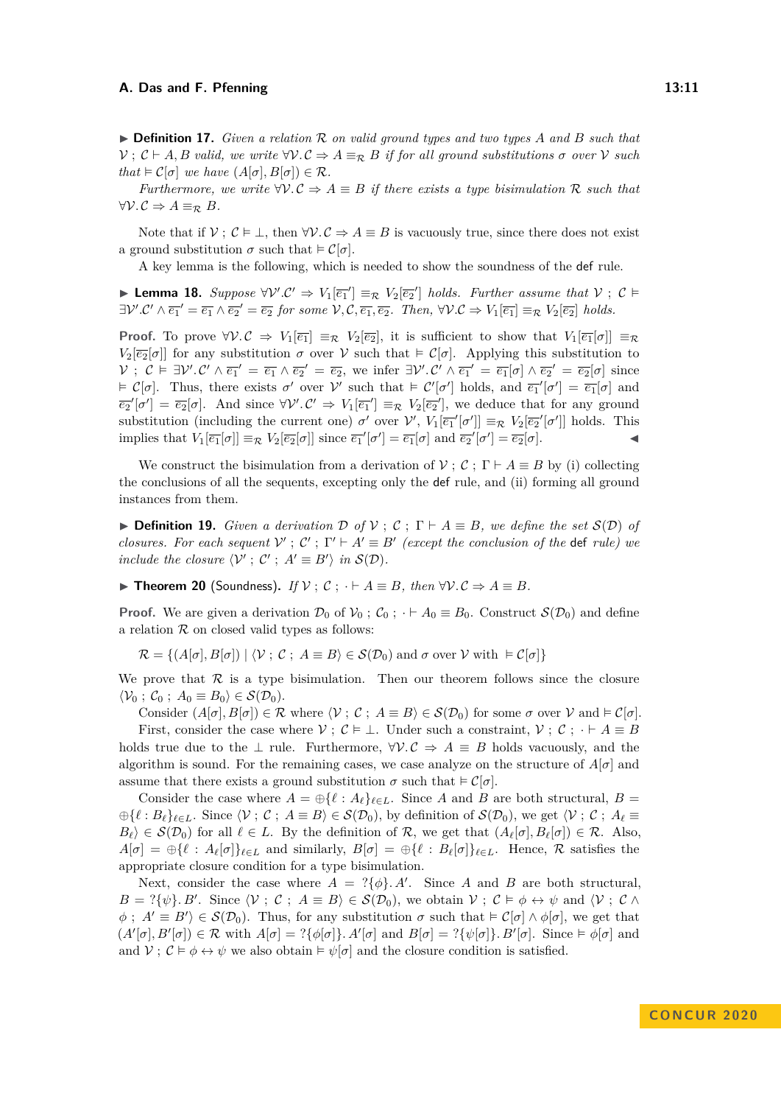$\triangleright$  **Definition 17.** *Given a relation*  $\mathcal{R}$  *on valid ground types and two types*  $\ddot{A}$  *and*  $\ddot{B}$  *such that*  $V : \mathcal{C} \vdash A, B$  *valid, we write*  $\forall V \cdot \mathcal{C} \Rightarrow A \equiv_R B$  *if for all ground substitutions*  $\sigma$  *over*  $V$  *such that*  $\models C[\sigma]$  *we have*  $(A[\sigma], B[\sigma]) \in \mathcal{R}$ *.* 

*Furthermore, we write*  $\forall V.C \Rightarrow A \equiv B$  *if there exists a type bisimulation* R *such that*  $∀V.C ⇒ A ≡<sub>R</sub> B.$ 

Note that if  $V$ ;  $C \models \bot$ , then  $\forall V$ .  $C \Rightarrow A \equiv B$  is vacuously true, since there does not exist a ground substitution  $\sigma$  such that  $\models \mathcal{C}[\sigma]$ .

A key lemma is the following, which is needed to show the soundness of the def rule.

<span id="page-10-1"></span>**► Lemma 18.** Suppose  $\forall V'.C' \Rightarrow V_1[\overline{e_1}'] \equiv_R V_2[\overline{e_2}']$  holds. Further assume that  $V$ ;  $C \models$  $\exists \mathcal{V}' \cdot \mathcal{C}' \land \overline{e_1}' = \overline{e_1} \land \overline{e_2}' = \overline{e_2}$  for some  $\mathcal{V}, \mathcal{C}, \overline{e_1}, \overline{e_2}$ . Then,  $\forall \mathcal{V} \cdot \mathcal{C} \Rightarrow V_1[\overline{e_1}] \equiv_{\mathcal{R}} V_2[\overline{e_2}]$  holds.

**Proof.** To prove  $\forall V \cdot C \Rightarrow V_1[\overline{e_1}] \equiv_R V_2[\overline{e_2}]$ , it is sufficient to show that  $V_1[\overline{e_1}[\sigma]] \equiv_R \overline{e_1}$  $V_2[\overline{e_2}[\sigma]]$  for any substitution  $\sigma$  over  $\mathcal V$  such that  $\in \mathcal C[\sigma]$ . Applying this substitution to  $V: \mathcal{C} \models \exists V'.\mathcal{C}' \land \overline{e_1}' = \overline{e_1} \land \overline{e_2}' = \overline{e_2}$ , we infer  $\exists V'.\mathcal{C}' \land \overline{e_1}' = \overline{e_1}[\sigma] \land \overline{e_2}' = \overline{e_2}[\sigma]$  since  $\in \mathcal{C}[\sigma]$ . Thus, there exists  $\sigma'$  over  $\mathcal{V}'$  such that  $\in \mathcal{C}'[\sigma']$  holds, and  $\overline{e_1}'[\sigma'] = \overline{e_1}[\sigma]$  and  $\overline{e_2}'[\sigma'] = \overline{e_2}[\sigma]$ . And since  $\forall \mathcal{V}' \cdot \mathcal{C}' \Rightarrow V_1[\overline{e_1}'] \equiv_{\mathcal{R}} V_2[\overline{e_2}']$ , we deduce that for any ground substitution (including the current one)  $\sigma'$  over  $\mathcal{V}'$ ,  $V_1[\overline{e_1}'[\sigma']] \equiv_{\mathcal{R}} V_2[\overline{e_2}'[\sigma']]$  holds. This implies that  $V_1[\overline{e_1}[\sigma]] \equiv_R V_2[\overline{e_2}[\sigma]]$  since  $\overline{e_1}'[\sigma'] = \overline{e_1}[\sigma]$  and  $\overline{e_2}'[\sigma'] = \overline{e_2}[\sigma]$ .

We construct the bisimulation from a derivation of  $\mathcal{V}$ ;  $\mathcal{C}$ ;  $\Gamma \vdash A \equiv B$  by (i) collecting the conclusions of all the sequents, excepting only the def rule, and (ii) forming all ground instances from them.

**► Definition 19.** *Given a derivation*  $\mathcal{D}$  *of*  $\mathcal{V}$ ;  $\mathcal{C}$ ;  $\Gamma \vdash A \equiv B$ *, we define the set*  $\mathcal{S}(\mathcal{D})$  *of closures. For each sequent*  $V'$ ;  $C'$ ;  $\Gamma' \vdash A' \equiv B'$  (except the conclusion of the def rule) we *include the closure*  $\langle V' ; C' ; A' \equiv B' \rangle$  *in*  $S(D)$ *.* 

<span id="page-10-0"></span>**► Theorem 20** (Soundness). *If*  $V$ ;  $C$ ;  $\cdot \cdot$  *A*  $\equiv$  *B, then*  $\forall V$ *.*  $C$   $\Rightarrow$  *A*  $\equiv$  *B.* 

**Proof.** We are given a derivation  $\mathcal{D}_0$  of  $\mathcal{V}_0$ ;  $\mathcal{C}_0$ ;  $\cdot \vdash A_0 \equiv B_0$ . Construct  $\mathcal{S}(\mathcal{D}_0)$  and define a relation  $R$  on closed valid types as follows:

 $\mathcal{R} = \{ (A[\sigma], B[\sigma]) \mid \langle \mathcal{V} : \mathcal{C} : A \equiv B \rangle \in \mathcal{S}(\mathcal{D}_0) \text{ and } \sigma \text{ over } \mathcal{V} \text{ with } \models \mathcal{C}[\sigma] \}$ 

We prove that  $\mathcal R$  is a type bisimulation. Then our theorem follows since the closure  $\langle V_0 : C_0 : A_0 \equiv B_0 \rangle \in \mathcal{S}(\mathcal{D}_0).$ 

Consider  $(A[\sigma], B[\sigma]) \in \mathcal{R}$  where  $\langle \mathcal{V} : \mathcal{C} : A \equiv B \rangle \in \mathcal{S}(\mathcal{D}_0)$  for some  $\sigma$  over  $\mathcal{V}$  and  $\models \mathcal{C}[\sigma]$ . First, consider the case where  $\mathcal{V}$ ;  $\mathcal{C} \models \bot$ . Under such a constraint,  $\mathcal{V}$ ;  $\mathcal{C}$ ;  $\cdot \vdash A \equiv B$ holds true due to the  $\perp$  rule. Furthermore,  $\forall V.C \Rightarrow A \equiv B$  holds vacuously, and the algorithm is sound. For the remaining cases, we case analyze on the structure of  $A[\sigma]$  and assume that there exists a ground substitution  $\sigma$  such that  $\models \mathcal{C}[\sigma]$ .

Consider the case where  $A = \bigoplus \{ \ell : A_{\ell} \}_{\ell \in L}$ . Since A and B are both structural,  $B =$  $\bigoplus \{\ell : B_{\ell}\}_{\ell \in L}$ . Since  $\langle \mathcal{V} : \mathcal{C} : A \equiv B \rangle \in \mathcal{S}(\mathcal{D}_0)$ , by definition of  $\mathcal{S}(\mathcal{D}_0)$ , we get  $\langle \mathcal{V} : \mathcal{C} : A_{\ell} \equiv$  $B_{\ell}$  ∈  $\mathcal{S}(\mathcal{D}_0)$  for all  $\ell \in L$ . By the definition of  $\mathcal{R}$ , we get that  $(A_{\ell}[\sigma], B_{\ell}[\sigma]) \in \mathcal{R}$ . Also,  $A[\sigma] = \bigoplus \{ \ell : A_{\ell}[\sigma] \}_{\ell \in L}$  and similarly,  $B[\sigma] = \bigoplus \{ \ell : B_{\ell}[\sigma] \}_{\ell \in L}$ . Hence, R satisfies the appropriate closure condition for a type bisimulation.

Next, consider the case where  $A = ?{\phi}$ . A'. Since A and B are both structural,  $B = ?{\psi}. B'.$  Since  $\langle V ; C ; A \equiv B \rangle \in \mathcal{S}(\mathcal{D}_0)$ , we obtain  $V ; C \models \phi \leftrightarrow \psi$  and  $\langle V ; C \land$  $\phi$ ;  $A' \equiv B'$   $\in \mathcal{S}(\mathcal{D}_0)$ . Thus, for any substitution  $\sigma$  such that  $\models \mathcal{C}[\sigma] \land \phi[\sigma]$ , we get that  $(A'[\sigma], B'[\sigma]) \in \mathcal{R}$  with  $A[\sigma] = ?\{\phi[\sigma]\}\text{. } A'[\sigma]$  and  $B[\sigma] = ?\{\psi[\sigma]\}\text{. } B'[\sigma]$ . Since  $\models \phi[\sigma]$  and and  $V: \mathcal{C} \models \phi \leftrightarrow \psi$  we also obtain  $\models \psi[\sigma]$  and the closure condition is satisfied.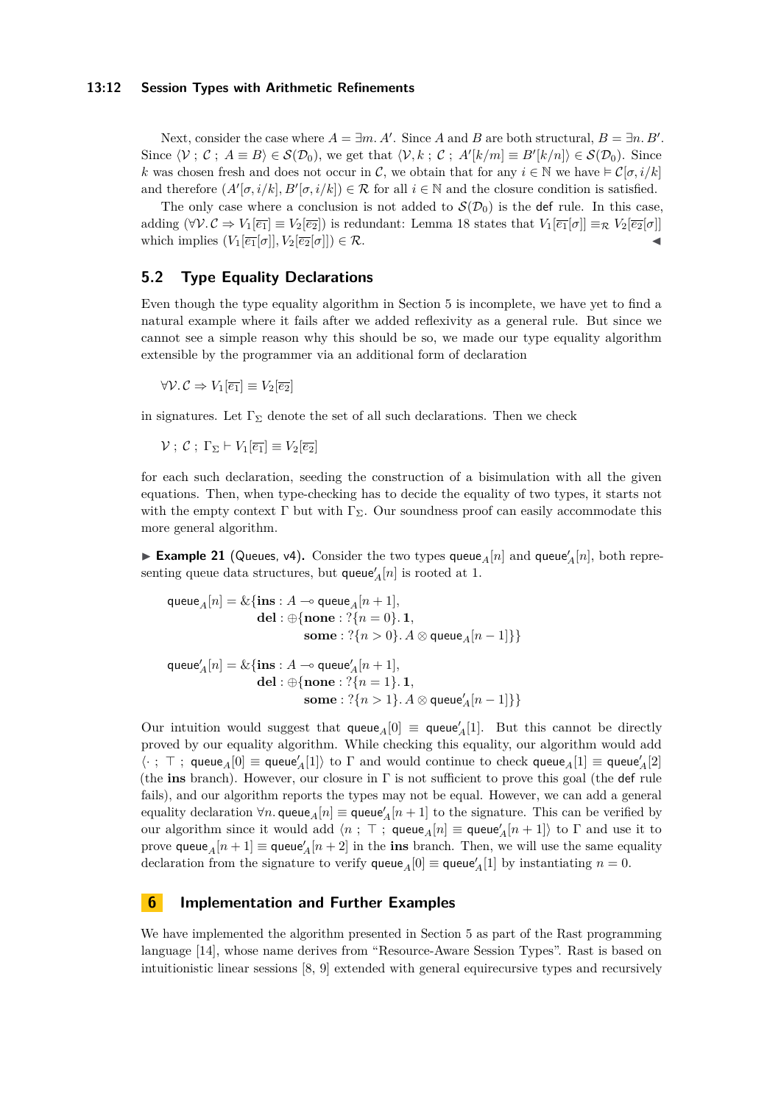#### **13:12 Session Types with Arithmetic Refinements**

Next, consider the case where  $A = \exists m. A'$ . Since *A* and *B* are both structural,  $B = \exists n. B'$ . Since  $\langle V ; C ; A \equiv B \rangle \in \mathcal{S}(\mathcal{D}_0)$ , we get that  $\langle V, k ; C ; A'[k/m] \equiv B'[k/n] \rangle \in \mathcal{S}(\mathcal{D}_0)$ . Since *k* was chosen fresh and does not occur in C, we obtain that for any  $i \in \mathbb{N}$  we have  $\in \mathcal{C}[\sigma, i/k]$ and therefore  $(A'[\sigma, i/k], B'[\sigma, i/k]) \in \mathcal{R}$  for all  $i \in \mathbb{N}$  and the closure condition is satisfied.

The only case where a conclusion is not added to  $\mathcal{S}(\mathcal{D}_0)$  is the def rule. In this case, adding  $(\forall V.C \Rightarrow V_1[\overline{e_1}] \equiv V_2[\overline{e_2}])$  is redundant: [Lemma 18](#page-10-1) states that  $V_1[\overline{e_1}[\sigma]] \equiv_R V_2[\overline{e_2}[\sigma]]$ which implies  $(V_1[\overline{e_1}[\sigma]], V_2[\overline{e_2}[\sigma]]) \in \mathcal{R}$ .

### <span id="page-11-1"></span>**5.2 Type Equality Declarations**

Even though the type equality algorithm in [Section 5](#page-7-0) is incomplete, we have yet to find a natural example where it fails after we added reflexivity as a general rule. But since we cannot see a simple reason why this should be so, we made our type equality algorithm extensible by the programmer via an additional form of declaration

 $∀V.C ⇒ V_1[\overline{e_1}] ≡ V_2[\overline{e_2}]$ 

in signatures. Let  $\Gamma_{\Sigma}$  denote the set of all such declarations. Then we check

 $V: \mathcal{C}: \Gamma_{\Sigma} \vdash V_1[\overline{e_1}] \equiv V_2[\overline{e_2}]$ 

for each such declaration, seeding the construction of a bisimulation with all the given equations. Then, when type-checking has to decide the equality of two types, it starts not with the empty context  $\Gamma$  but with  $\Gamma_{\Sigma}$ . Our soundness proof can easily accommodate this more general algorithm.

**Example 21** (Queues, v4). Consider the two types queue<sub>A</sub>[*n*] and queue<sup>'</sup><sub>A</sub>[*n*], both representing queue data structures, but  $\mathsf{queue}_A'[n]$  is rooted at 1.

$$
\begin{aligned} \text{queue}_A[n] &= \&\{\mathbf{ins}: A \multimap \mathbf{queue}_A[n+1],\\ \mathbf{del}: \oplus \{\mathbf{none}: ?\{n=0\}. \ \mathbf{1},\\ \mathbf{some}: ?\{n>0\}. \ A \otimes \mathbf{queue}_A[n-1]\} \} \\ \text{queue}'_A[n] &= \&\{\mathbf{ins}: A \multimap \mathbf{queue}'_A[n+1],\\ \mathbf{del}: \oplus \{\mathbf{none}: ?\{n=1\}. \ \mathbf{1},\\ \mathbf{some}: ?\{n>1\}. \ A \otimes \mathbf{queue}'_A[n-1]\} \} \end{aligned}
$$

Our intuition would suggest that  $\mathsf{queue}_A[0] \equiv \mathsf{queue}'_A[1]$ . But this cannot be directly proved by our equality algorithm. While checking this equality, our algorithm would add  $\langle \cdot \, ; \, \top \, ; \, \textsf{queue}_A[0] \equiv \textsf{queue}'_A[1] \rangle$  to  $\Gamma$  and would continue to check  $\textsf{queue}_A[1] \equiv \textsf{queue}'_A[2]$ (the **ins** branch). However, our closure in Γ is not sufficient to prove this goal (the def rule fails), and our algorithm reports the types may not be equal. However, we can add a general equality declaration  $\forall n$ . queue<sub>*A*</sub>[*n*]  $\equiv$  queue<sup>*'</sup>A*[*n* + 1] to the signature. This can be verified by</sup> our algorithm since it would add  $\langle n ; \top ;$  queue<sub>*A*</sub>[*n*]  $\equiv$  queue'<sub>*A*</sub>[*n* + 1]) to  $\Gamma$  and use it to prove  $\textsf{queue}_A[n+1] \equiv \textsf{queue}'_A[n+2]$  in the **ins** branch. Then, we will use the same equality declaration from the signature to verify  $\mathsf{queue}_A[0] \equiv \mathsf{queue}'_A[1]$  by instantiating  $n = 0$ .

# <span id="page-11-0"></span>**6 Implementation and Further Examples**

We have implemented the algorithm presented in [Section 5](#page-7-0) as part of the Rast programming language [\[14\]](#page-15-3), whose name derives from "Resource-Aware Session Types". Rast is based on intuitionistic linear sessions [\[8,](#page-15-0) [9\]](#page-15-1) extended with general equirecursive types and recursively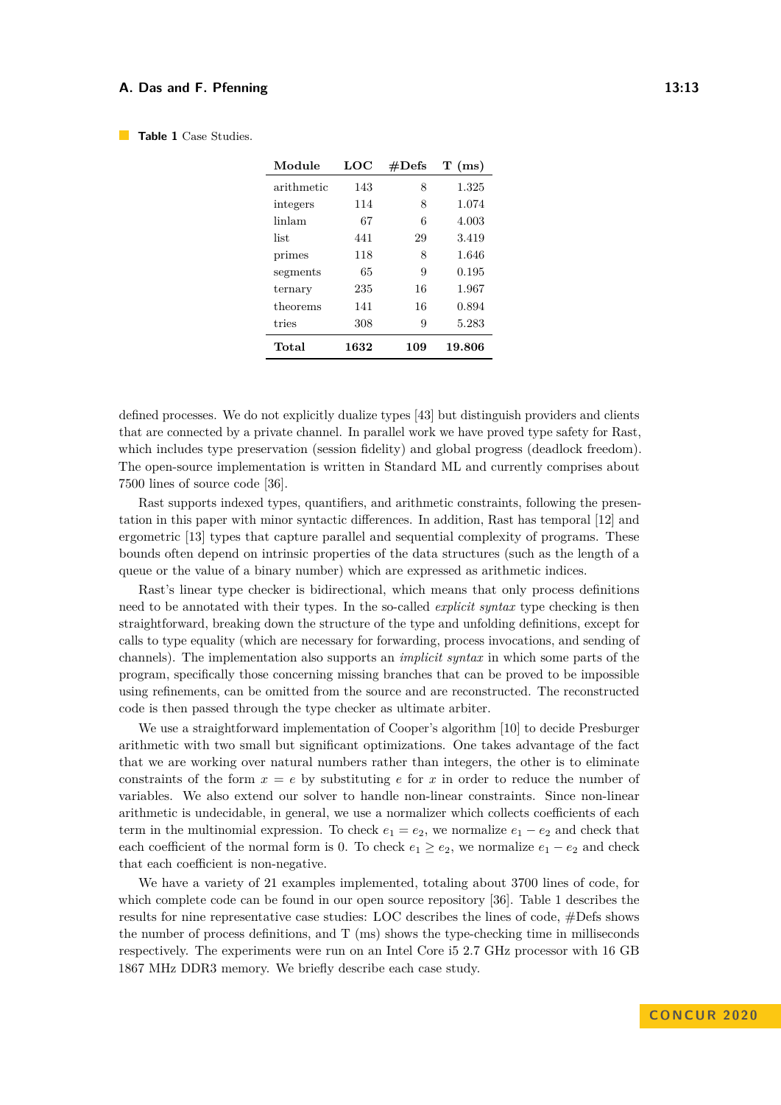| Module     | LOC  | #Defs | $T$ (ms) |
|------------|------|-------|----------|
| arithmetic | 143  | 8     | 1.325    |
| integers   | 114  | 8     | 1.074    |
| linlam     | 67   | 6     | 4.003    |
| list.      | 441  | 29    | 3.419    |
| primes     | 118  | 8     | 1.646    |
| segments   | 65   | 9     | 0.195    |
| ternary    | 235  | 16    | 1.967    |
| theorems   | 141  | 16    | 0.894    |
| tries      | 308  | 9     | 5.283    |
| Total      | 1632 | 109   | 19.806   |

<span id="page-12-0"></span>**Table 1** Case Studies.

defined processes. We do not explicitly dualize types [\[43\]](#page-17-1) but distinguish providers and clients that are connected by a private channel. In parallel work we have proved type safety for Rast, which includes type preservation (session fidelity) and global progress (deadlock freedom). The open-source implementation is written in Standard ML and currently comprises about 7500 lines of source code [\[36\]](#page-17-10).

Rast supports indexed types, quantifiers, and arithmetic constraints, following the presentation in this paper with minor syntactic differences. In addition, Rast has temporal [\[12\]](#page-15-5) and ergometric [\[13\]](#page-15-6) types that capture parallel and sequential complexity of programs. These bounds often depend on intrinsic properties of the data structures (such as the length of a queue or the value of a binary number) which are expressed as arithmetic indices.

Rast's linear type checker is bidirectional, which means that only process definitions need to be annotated with their types. In the so-called *explicit syntax* type checking is then straightforward, breaking down the structure of the type and unfolding definitions, except for calls to type equality (which are necessary for forwarding, process invocations, and sending of channels). The implementation also supports an *implicit syntax* in which some parts of the program, specifically those concerning missing branches that can be proved to be impossible using refinements, can be omitted from the source and are reconstructed. The reconstructed code is then passed through the type checker as ultimate arbiter.

We use a straightforward implementation of Cooper's algorithm [\[10\]](#page-15-7) to decide Presburger arithmetic with two small but significant optimizations. One takes advantage of the fact that we are working over natural numbers rather than integers, the other is to eliminate constraints of the form  $x = e$  by substituting  $e$  for  $x$  in order to reduce the number of variables. We also extend our solver to handle non-linear constraints. Since non-linear arithmetic is undecidable, in general, we use a normalizer which collects coefficients of each term in the multinomial expression. To check  $e_1 = e_2$ , we normalize  $e_1 - e_2$  and check that each coefficient of the normal form is 0. To check  $e_1 \geq e_2$ , we normalize  $e_1 - e_2$  and check that each coefficient is non-negative.

We have a variety of 21 examples implemented, totaling about 3700 lines of code, for which complete code can be found in our open source repository [\[36\]](#page-17-10). Table [1](#page-12-0) describes the results for nine representative case studies: LOC describes the lines of code, #Defs shows the number of process definitions, and T (ms) shows the type-checking time in milliseconds respectively. The experiments were run on an Intel Core i5 2.7 GHz processor with 16 GB 1867 MHz DDR3 memory. We briefly describe each case study.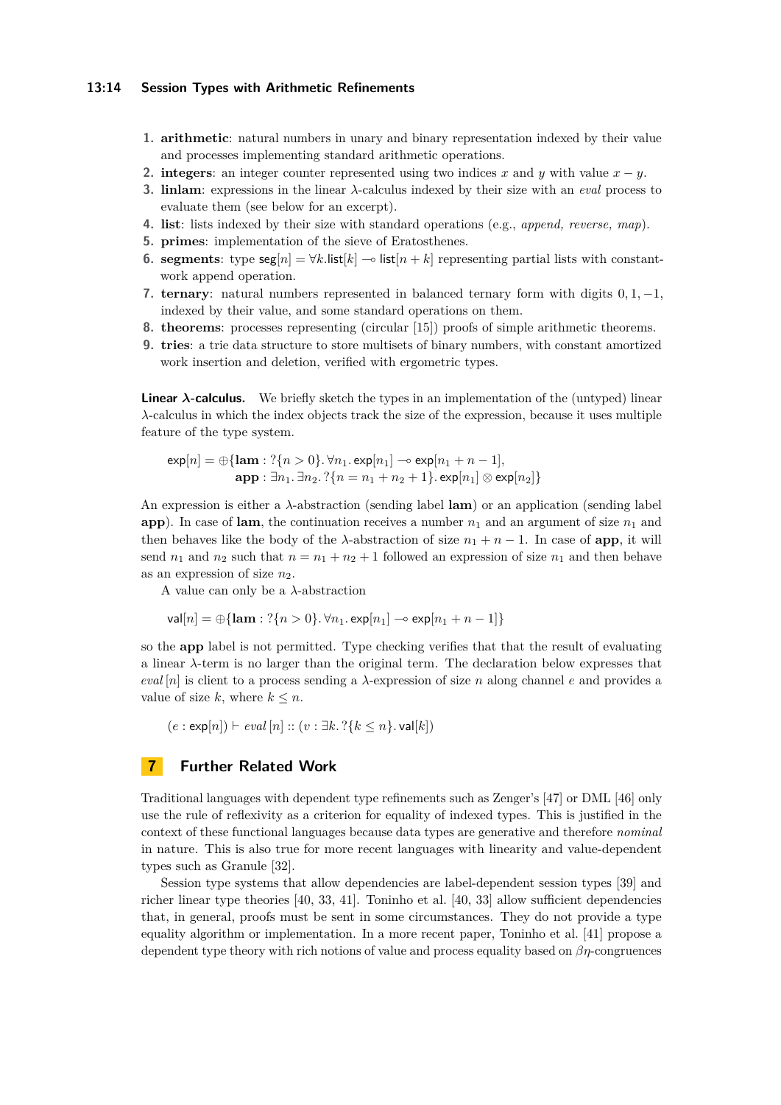#### **13:14 Session Types with Arithmetic Refinements**

- **1. arithmetic**: natural numbers in unary and binary representation indexed by their value and processes implementing standard arithmetic operations.
- **2. integers**: an integer counter represented using two indices *x* and *y* with value  $x y$ .
- **3. linlam**: expressions in the linear *λ*-calculus indexed by their size with an *eval* process to evaluate them (see below for an excerpt).
- **4. list**: lists indexed by their size with standard operations (e.g., *append, reverse, map*).
- **5. primes**: implementation of the sieve of Eratosthenes.
- **6. segments**: type  $\text{seg}[n] = \forall k.\text{list}[k] \rightarrow \text{list}[n+k]$  representing partial lists with constantwork append operation.
- **7. ternary**: natural numbers represented in balanced ternary form with digits 0*,* 1*,* −1, indexed by their value, and some standard operations on them.
- **8. theorems**: processes representing (circular [\[15\]](#page-15-4)) proofs of simple arithmetic theorems.
- **9. tries**: a trie data structure to store multisets of binary numbers, with constant amortized work insertion and deletion, verified with ergometric types.

**Linear** *λ***-calculus.** We briefly sketch the types in an implementation of the (untyped) linear *λ*-calculus in which the index objects track the size of the expression, because it uses multiple feature of the type system.

$$
\exp[n] = \bigoplus \{ \textbf{lam} : ?\{n > 0\}. \forall n_1. \exp[n_1] \rightarrow \exp[n_1 + n - 1], \\ \textbf{app} : \exists n_1. \exists n_2. ?\{n = n_1 + n_2 + 1\}. \exp[n_1] \otimes \exp[n_2] \}
$$

An expression is either a *λ*-abstraction (sending label **lam**) or an application (sending label **app**). In case of **lam**, the continuation receives a number  $n_1$  and an argument of size  $n_1$  and then behaves like the body of the  $\lambda$ -abstraction of size  $n_1 + n - 1$ . In case of **app**, it will send  $n_1$  and  $n_2$  such that  $n = n_1 + n_2 + 1$  followed an expression of size  $n_1$  and then behave as an expression of size  $n_2$ .

A value can only be a *λ*-abstraction

$$
\mathsf{val}[n] = \bigoplus \{ \mathsf{lam} : ?\{n > 0\}.\,\forall n_1.\exp[n_1] \multimap \exp[n_1 + n - 1]\}
$$

so the **app** label is not permitted. Type checking verifies that that the result of evaluating a linear *λ*-term is no larger than the original term. The declaration below expresses that *eval* [*n*] is client to a process sending a  $\lambda$ -expression of size *n* along channel *e* and provides a value of size *k*, where  $k \leq n$ .

 $(e : \exp[n]) \vdash eval[n] :: (v : \exists k. ? \{k \leq n\}$ . val $[k])$ 

# <span id="page-13-0"></span>**7 Further Related Work**

Traditional languages with dependent type refinements such as Zenger's [\[47\]](#page-17-4) or DML [\[46\]](#page-17-5) only use the rule of reflexivity as a criterion for equality of indexed types. This is justified in the context of these functional languages because data types are generative and therefore *nominal* in nature. This is also true for more recent languages with linearity and value-dependent types such as Granule [\[32\]](#page-16-10).

Session type systems that allow dependencies are label-dependent session types [\[39\]](#page-17-7) and richer linear type theories [\[40,](#page-17-11) [33,](#page-16-11) [41\]](#page-17-12). Toninho et al. [\[40,](#page-17-11) [33\]](#page-16-11) allow sufficient dependencies that, in general, proofs must be sent in some circumstances. They do not provide a type equality algorithm or implementation. In a more recent paper, Toninho et al. [\[41\]](#page-17-12) propose a dependent type theory with rich notions of value and process equality based on *βη*-congruences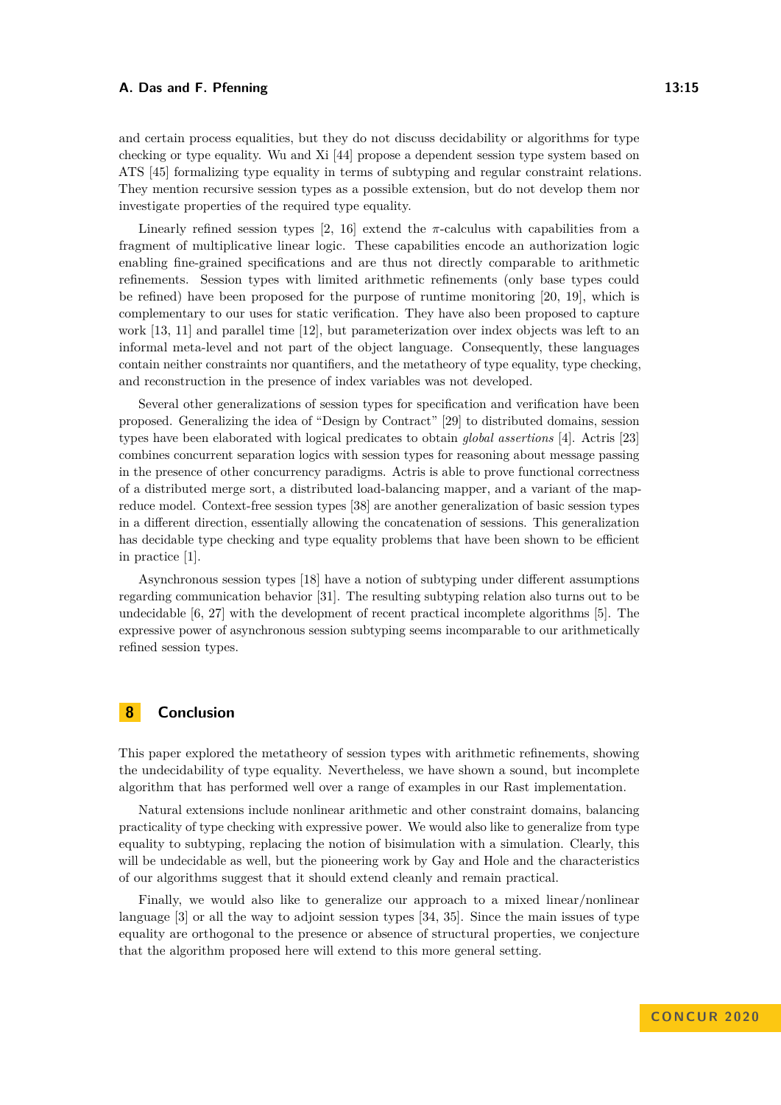and certain process equalities, but they do not discuss decidability or algorithms for type checking or type equality. Wu and Xi [\[44\]](#page-17-13) propose a dependent session type system based on ATS [\[45\]](#page-17-14) formalizing type equality in terms of subtyping and regular constraint relations. They mention recursive session types as a possible extension, but do not develop them nor investigate properties of the required type equality.

Linearly refined session types  $\left[2, 16\right]$  $\left[2, 16\right]$  $\left[2, 16\right]$  extend the  $\pi$ -calculus with capabilities from a fragment of multiplicative linear logic. These capabilities encode an authorization logic enabling fine-grained specifications and are thus not directly comparable to arithmetic refinements. Session types with limited arithmetic refinements (only base types could be refined) have been proposed for the purpose of runtime monitoring [\[20,](#page-16-7) [19\]](#page-16-8), which is complementary to our uses for static verification. They have also been proposed to capture work [\[13,](#page-15-6) [11\]](#page-15-9) and parallel time [\[12\]](#page-15-5), but parameterization over index objects was left to an informal meta-level and not part of the object language. Consequently, these languages contain neither constraints nor quantifiers, and the metatheory of type equality, type checking, and reconstruction in the presence of index variables was not developed.

Several other generalizations of session types for specification and verification have been proposed. Generalizing the idea of "Design by Contract" [\[29\]](#page-16-13) to distributed domains, session types have been elaborated with logical predicates to obtain *global assertions* [\[4\]](#page-15-10). Actris [\[23\]](#page-16-14) combines concurrent separation logics with session types for reasoning about message passing in the presence of other concurrency paradigms. Actris is able to prove functional correctness of a distributed merge sort, a distributed load-balancing mapper, and a variant of the mapreduce model. Context-free session types [\[38\]](#page-17-3) are another generalization of basic session types in a different direction, essentially allowing the concatenation of sessions. This generalization has decidable type checking and type equality problems that have been shown to be efficient in practice [\[1\]](#page-15-11).

Asynchronous session types [\[18\]](#page-16-15) have a notion of subtyping under different assumptions regarding communication behavior [\[31\]](#page-16-16). The resulting subtyping relation also turns out to be undecidable [\[6,](#page-15-12) [27\]](#page-16-17) with the development of recent practical incomplete algorithms [\[5\]](#page-15-13). The expressive power of asynchronous session subtyping seems incomparable to our arithmetically refined session types.

# **8 Conclusion**

This paper explored the metatheory of session types with arithmetic refinements, showing the undecidability of type equality. Nevertheless, we have shown a sound, but incomplete algorithm that has performed well over a range of examples in our Rast implementation.

Natural extensions include nonlinear arithmetic and other constraint domains, balancing practicality of type checking with expressive power. We would also like to generalize from type equality to subtyping, replacing the notion of bisimulation with a simulation. Clearly, this will be undecidable as well, but the pioneering work by Gay and Hole and the characteristics of our algorithms suggest that it should extend cleanly and remain practical.

Finally, we would also like to generalize our approach to a mixed linear/nonlinear language [\[3\]](#page-15-14) or all the way to adjoint session types [\[34,](#page-16-18) [35\]](#page-17-15). Since the main issues of type equality are orthogonal to the presence or absence of structural properties, we conjecture that the algorithm proposed here will extend to this more general setting.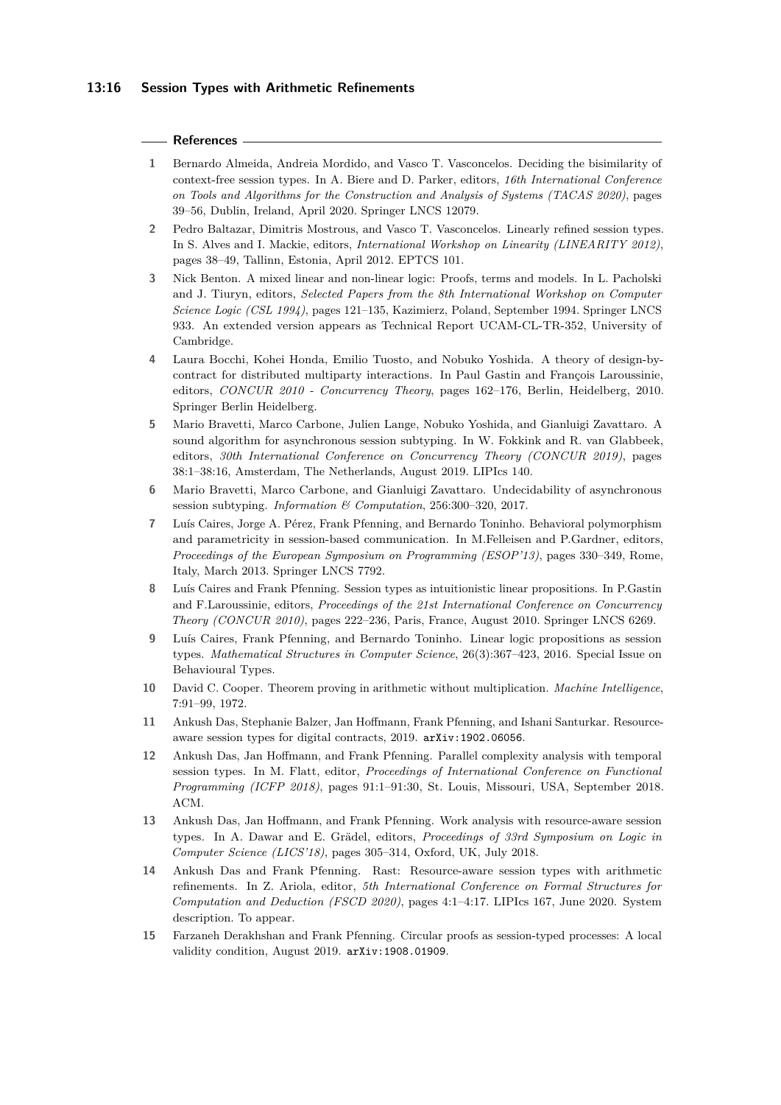#### **References**

- <span id="page-15-11"></span>**1** Bernardo Almeida, Andreia Mordido, and Vasco T. Vasconcelos. Deciding the bisimilarity of context-free session types. In A. Biere and D. Parker, editors, *16th International Conference on Tools and Algorithms for the Construction and Analysis of Systems (TACAS 2020)*, pages 39–56, Dublin, Ireland, April 2020. Springer LNCS 12079.
- <span id="page-15-8"></span>**2** Pedro Baltazar, Dimitris Mostrous, and Vasco T. Vasconcelos. Linearly refined session types. In S. Alves and I. Mackie, editors, *International Workshop on Linearity (LINEARITY 2012)*, pages 38–49, Tallinn, Estonia, April 2012. EPTCS 101.
- <span id="page-15-14"></span>**3** Nick Benton. A mixed linear and non-linear logic: Proofs, terms and models. In L. Pacholski and J. Tiuryn, editors, *Selected Papers from the 8th International Workshop on Computer Science Logic (CSL 1994)*, pages 121–135, Kazimierz, Poland, September 1994. Springer LNCS 933. An extended version appears as Technical Report UCAM-CL-TR-352, University of Cambridge.
- <span id="page-15-10"></span>**4** Laura Bocchi, Kohei Honda, Emilio Tuosto, and Nobuko Yoshida. A theory of design-bycontract for distributed multiparty interactions. In Paul Gastin and François Laroussinie, editors, *CONCUR 2010 - Concurrency Theory*, pages 162–176, Berlin, Heidelberg, 2010. Springer Berlin Heidelberg.
- <span id="page-15-13"></span>**5** Mario Bravetti, Marco Carbone, Julien Lange, Nobuko Yoshida, and Gianluigi Zavattaro. A sound algorithm for asynchronous session subtyping. In W. Fokkink and R. van Glabbeek, editors, *30th International Conference on Concurrency Theory (CONCUR 2019)*, pages 38:1–38:16, Amsterdam, The Netherlands, August 2019. LIPIcs 140.
- <span id="page-15-12"></span>**6** Mario Bravetti, Marco Carbone, and Gianluigi Zavattaro. Undecidability of asynchronous session subtyping. *Information & Computation*, 256:300–320, 2017.
- <span id="page-15-2"></span>**7** Luís Caires, Jorge A. Pérez, Frank Pfenning, and Bernardo Toninho. Behavioral polymorphism and parametricity in session-based communication. In M.Felleisen and P.Gardner, editors, *Proceedings of the European Symposium on Programming (ESOP'13)*, pages 330–349, Rome, Italy, March 2013. Springer LNCS 7792.
- <span id="page-15-0"></span>**8** Luís Caires and Frank Pfenning. Session types as intuitionistic linear propositions. In P.Gastin and F.Laroussinie, editors, *Proceedings of the 21st International Conference on Concurrency Theory (CONCUR 2010)*, pages 222–236, Paris, France, August 2010. Springer LNCS 6269.
- <span id="page-15-1"></span>**9** Luís Caires, Frank Pfenning, and Bernardo Toninho. Linear logic propositions as session types. *Mathematical Structures in Computer Science*, 26(3):367–423, 2016. Special Issue on Behavioural Types.
- <span id="page-15-7"></span>**10** David C. Cooper. Theorem proving in arithmetic without multiplication. *Machine Intelligence*, 7:91–99, 1972.
- <span id="page-15-9"></span>**11** Ankush Das, Stephanie Balzer, Jan Hoffmann, Frank Pfenning, and Ishani Santurkar. Resourceaware session types for digital contracts, 2019. [arXiv:1902.06056](http://arxiv.org/abs/1902.06056).
- <span id="page-15-5"></span>**12** Ankush Das, Jan Hoffmann, and Frank Pfenning. Parallel complexity analysis with temporal session types. In M. Flatt, editor, *Proceedings of International Conference on Functional Programming (ICFP 2018)*, pages 91:1–91:30, St. Louis, Missouri, USA, September 2018. ACM.
- <span id="page-15-6"></span>**13** Ankush Das, Jan Hoffmann, and Frank Pfenning. Work analysis with resource-aware session types. In A. Dawar and E. Grädel, editors, *Proceedings of 33rd Symposium on Logic in Computer Science (LICS'18)*, pages 305–314, Oxford, UK, July 2018.
- <span id="page-15-3"></span>**14** Ankush Das and Frank Pfenning. Rast: Resource-aware session types with arithmetic refinements. In Z. Ariola, editor, *5th International Conference on Formal Structures for Computation and Deduction (FSCD 2020)*, pages 4:1–4:17. LIPIcs 167, June 2020. System description. To appear.
- <span id="page-15-4"></span>**15** Farzaneh Derakhshan and Frank Pfenning. Circular proofs as session-typed processes: A local validity condition, August 2019. [arXiv:1908.01909](http://arxiv.org/abs/1908.01909).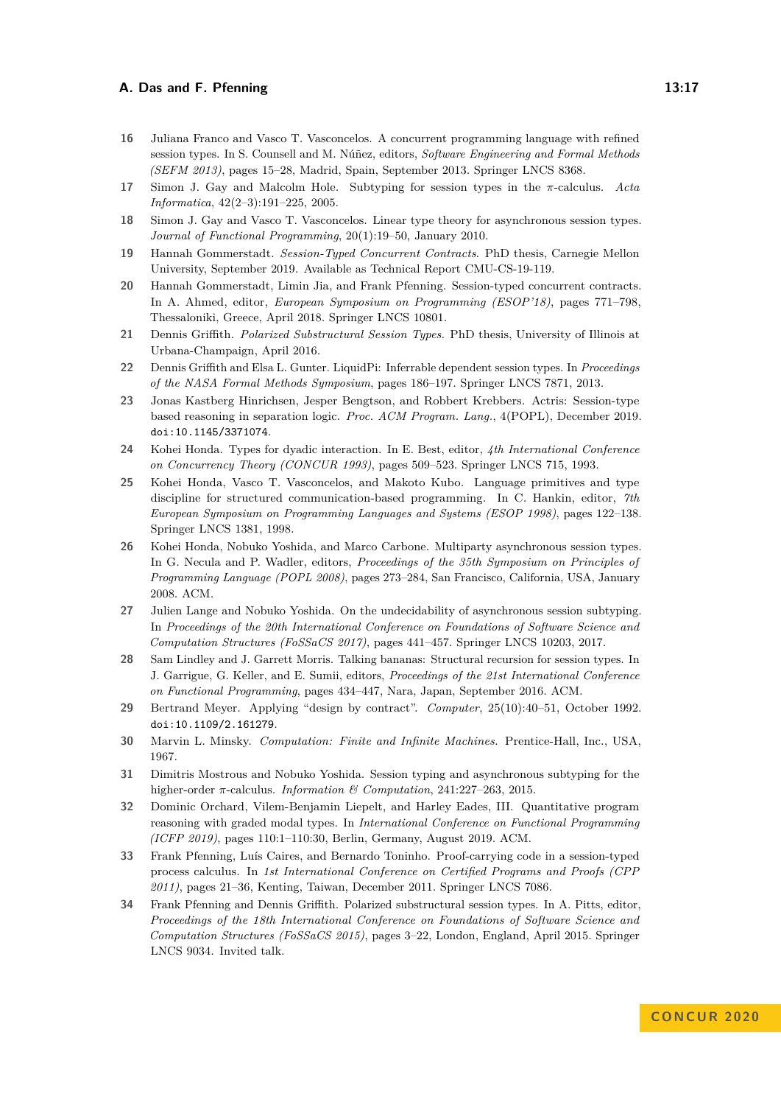- <span id="page-16-12"></span>**16** Juliana Franco and Vasco T. Vasconcelos. A concurrent programming language with refined session types. In S. Counsell and M. Núñez, editors, *Software Engineering and Formal Methods (SEFM 2013)*, pages 15–28, Madrid, Spain, September 2013. Springer LNCS 8368.
- <span id="page-16-3"></span>**17** Simon J. Gay and Malcolm Hole. Subtyping for session types in the *π*-calculus. *Acta Informatica*, 42(2–3):191–225, 2005.
- <span id="page-16-15"></span>**18** Simon J. Gay and Vasco T. Vasconcelos. Linear type theory for asynchronous session types. *Journal of Functional Programming*, 20(1):19–50, January 2010.
- <span id="page-16-8"></span>**19** Hannah Gommerstadt. *Session-Typed Concurrent Contracts*. PhD thesis, Carnegie Mellon University, September 2019. Available as Technical Report CMU-CS-19-119.
- <span id="page-16-7"></span>**20** Hannah Gommerstadt, Limin Jia, and Frank Pfenning. Session-typed concurrent contracts. In A. Ahmed, editor, *European Symposium on Programming (ESOP'18)*, pages 771–798, Thessaloniki, Greece, April 2018. Springer LNCS 10801.
- <span id="page-16-4"></span>**21** Dennis Griffith. *Polarized Substructural Session Types*. PhD thesis, University of Illinois at Urbana-Champaign, April 2016.
- <span id="page-16-6"></span>**22** Dennis Griffith and Elsa L. Gunter. LiquidPi: Inferrable dependent session types. In *Proceedings of the NASA Formal Methods Symposium*, pages 186–197. Springer LNCS 7871, 2013.
- <span id="page-16-14"></span>**23** Jonas Kastberg Hinrichsen, Jesper Bengtson, and Robbert Krebbers. Actris: Session-type based reasoning in separation logic. *Proc. ACM Program. Lang.*, 4(POPL), December 2019. [doi:10.1145/3371074](https://doi.org/10.1145/3371074).
- <span id="page-16-0"></span>**24** Kohei Honda. Types for dyadic interaction. In E. Best, editor, *4th International Conference on Concurrency Theory (CONCUR 1993)*, pages 509–523. Springer LNCS 715, 1993.
- <span id="page-16-1"></span>**25** Kohei Honda, Vasco T. Vasconcelos, and Makoto Kubo. Language primitives and type discipline for structured communication-based programming. In C. Hankin, editor, *7th European Symposium on Programming Languages and Systems (ESOP 1998)*, pages 122–138. Springer LNCS 1381, 1998.
- <span id="page-16-2"></span>**26** Kohei Honda, Nobuko Yoshida, and Marco Carbone. Multiparty asynchronous session types. In G. Necula and P. Wadler, editors, *Proceedings of the 35th Symposium on Principles of Programming Language (POPL 2008)*, pages 273–284, San Francisco, California, USA, January 2008. ACM.
- <span id="page-16-17"></span>**27** Julien Lange and Nobuko Yoshida. On the undecidability of asynchronous session subtyping. In *Proceedings of the 20th International Conference on Foundations of Software Science and Computation Structures (FoSSaCS 2017)*, pages 441–457. Springer LNCS 10203, 2017.
- <span id="page-16-9"></span>**28** Sam Lindley and J. Garrett Morris. Talking bananas: Structural recursion for session types. In J. Garrigue, G. Keller, and E. Sumii, editors, *Proceedings of the 21st International Conference on Functional Programming*, pages 434–447, Nara, Japan, September 2016. ACM.
- <span id="page-16-13"></span>**29** Bertrand Meyer. Applying "design by contract". *Computer*, 25(10):40–51, October 1992. [doi:10.1109/2.161279](https://doi.org/10.1109/2.161279).
- <span id="page-16-5"></span>**30** Marvin L. Minsky. *Computation: Finite and Infinite Machines*. Prentice-Hall, Inc., USA, 1967.
- <span id="page-16-16"></span>**31** Dimitris Mostrous and Nobuko Yoshida. Session typing and asynchronous subtyping for the higher-order *π*-calculus. *Information & Computation*, 241:227–263, 2015.
- <span id="page-16-10"></span>**32** Dominic Orchard, Vilem-Benjamin Liepelt, and Harley Eades, III. Quantitative program reasoning with graded modal types. In *International Conference on Functional Programming (ICFP 2019)*, pages 110:1–110:30, Berlin, Germany, August 2019. ACM.
- <span id="page-16-11"></span>**33** Frank Pfenning, Luís Caires, and Bernardo Toninho. Proof-carrying code in a session-typed process calculus. In *1st International Conference on Certified Programs and Proofs (CPP 2011)*, pages 21–36, Kenting, Taiwan, December 2011. Springer LNCS 7086.
- <span id="page-16-18"></span>**34** Frank Pfenning and Dennis Griffith. Polarized substructural session types. In A. Pitts, editor, *Proceedings of the 18th International Conference on Foundations of Software Science and Computation Structures (FoSSaCS 2015)*, pages 3–22, London, England, April 2015. Springer LNCS 9034. Invited talk.